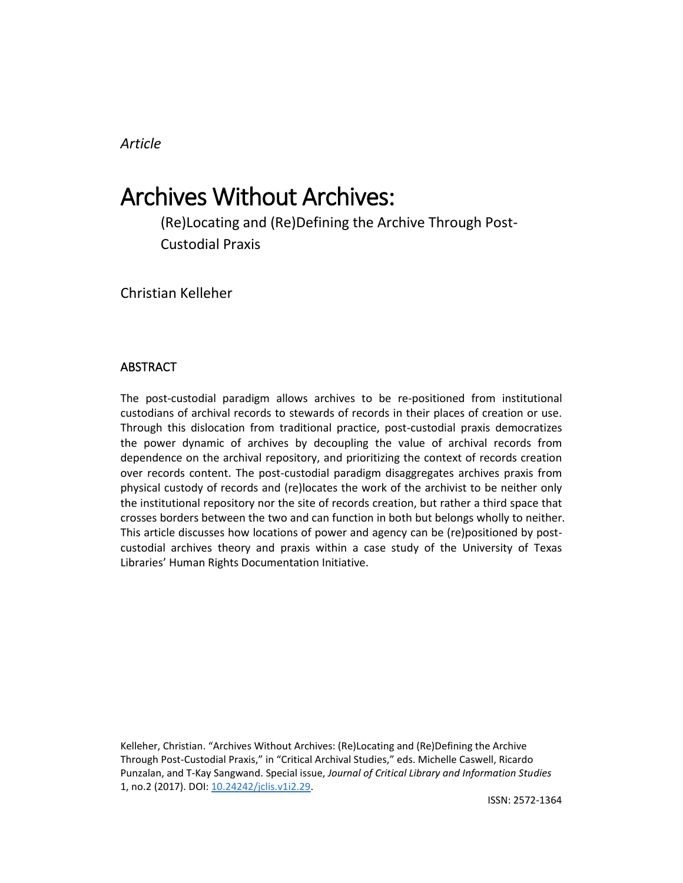# *Article*

# Archives Without Archives:

(Re)Locating and (Re)Defining the Archive Through Post-Custodial Praxis

Christian Kelleher

## **ABSTRACT**

The post-custodial paradigm allows archives to be re-positioned from institutional custodians of archival records to stewards of records in their places of creation or use. Through this dislocation from traditional practice, post-custodial praxis democratizes the power dynamic of archives by decoupling the value of archival records from dependence on the archival repository, and prioritizing the context of records creation over records content. The post-custodial paradigm disaggregates archives praxis from physical custody of records and (re)locates the work of the archivist to be neither only the institutional repository nor the site of records creation, but rather a third space that crosses borders between the two and can function in both but belongs wholly to neither. This article discusses how locations of power and agency can be (re)positioned by postcustodial archives theory and praxis within a case study of the University of Texas Libraries' Human Rights Documentation Initiative.

Kelleher, Christian. "Archives Without Archives: (Re)Locating and (Re)Defining the Archive Through Post-Custodial Praxis," in "Critical Archival Studies," eds. Michelle Caswell, Ricardo Punzalan, and T-Kay Sangwand. Special issue, *Journal of Critical Library and Information Studies* 1, no.2 (2017). DOI: [10.24242/jclis.v1i2.29.](http://dx.doi.org/10.24242/jclis.v1i2.29)

ISSN: 2572-1364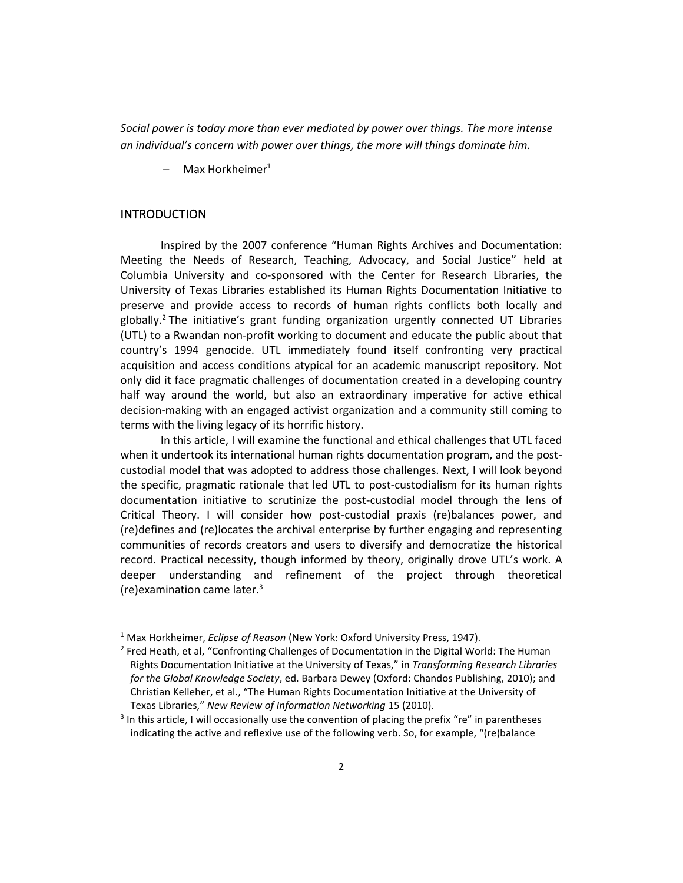*Social power is today more than ever mediated by power over things. The more intense an individual's concern with power over things, the more will things dominate him.*

Max Horkheimer $1$ 

#### INTRODUCTION

 $\overline{\phantom{a}}$ 

Inspired by the 2007 conference "Human Rights Archives and Documentation: Meeting the Needs of Research, Teaching, Advocacy, and Social Justice" held at Columbia University and co-sponsored with the Center for Research Libraries, the University of Texas Libraries established its Human Rights Documentation Initiative to preserve and provide access to records of human rights conflicts both locally and globally.<sup>2</sup> The initiative's grant funding organization urgently connected UT Libraries (UTL) to a Rwandan non-profit working to document and educate the public about that country's 1994 genocide. UTL immediately found itself confronting very practical acquisition and access conditions atypical for an academic manuscript repository. Not only did it face pragmatic challenges of documentation created in a developing country half way around the world, but also an extraordinary imperative for active ethical decision-making with an engaged activist organization and a community still coming to terms with the living legacy of its horrific history.

In this article, I will examine the functional and ethical challenges that UTL faced when it undertook its international human rights documentation program, and the postcustodial model that was adopted to address those challenges. Next, I will look beyond the specific, pragmatic rationale that led UTL to post-custodialism for its human rights documentation initiative to scrutinize the post-custodial model through the lens of Critical Theory. I will consider how post-custodial praxis (re)balances power, and (re)defines and (re)locates the archival enterprise by further engaging and representing communities of records creators and users to diversify and democratize the historical record. Practical necessity, though informed by theory, originally drove UTL's work. A deeper understanding and refinement of the project through theoretical (re)examination came later. $3$ 

<sup>1</sup> Max Horkheimer, *Eclipse of Reason* (New York: Oxford University Press, 1947).

<sup>2</sup> Fred Heath, et al, "Confronting Challenges of Documentation in the Digital World: The Human Rights Documentation Initiative at the University of Texas," in *Transforming Research Libraries for the Global Knowledge Society*, ed. Barbara Dewey (Oxford: Chandos Publishing, 2010); and Christian Kelleher, et al., "The Human Rights Documentation Initiative at the University of Texas Libraries," *New Review of Information Networking* 15 (2010).

<sup>&</sup>lt;sup>3</sup> In this article, I will occasionally use the convention of placing the prefix "re" in parentheses indicating the active and reflexive use of the following verb. So, for example, "(re)balance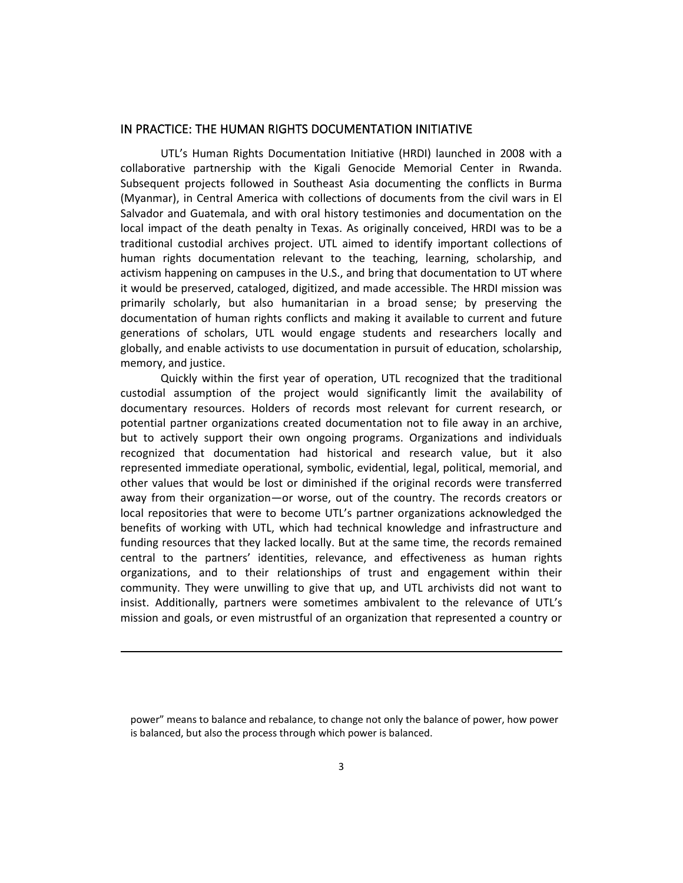### IN PRACTICE: THE HUMAN RIGHTS DOCUMENTATION INITIATIVE

UTL's Human Rights Documentation Initiative (HRDI) launched in 2008 with a collaborative partnership with the Kigali Genocide Memorial Center in Rwanda. Subsequent projects followed in Southeast Asia documenting the conflicts in Burma (Myanmar), in Central America with collections of documents from the civil wars in El Salvador and Guatemala, and with oral history testimonies and documentation on the local impact of the death penalty in Texas. As originally conceived, HRDI was to be a traditional custodial archives project. UTL aimed to identify important collections of human rights documentation relevant to the teaching, learning, scholarship, and activism happening on campuses in the U.S., and bring that documentation to UT where it would be preserved, cataloged, digitized, and made accessible. The HRDI mission was primarily scholarly, but also humanitarian in a broad sense; by preserving the documentation of human rights conflicts and making it available to current and future generations of scholars, UTL would engage students and researchers locally and globally, and enable activists to use documentation in pursuit of education, scholarship, memory, and justice.

Quickly within the first year of operation, UTL recognized that the traditional custodial assumption of the project would significantly limit the availability of documentary resources. Holders of records most relevant for current research, or potential partner organizations created documentation not to file away in an archive, but to actively support their own ongoing programs. Organizations and individuals recognized that documentation had historical and research value, but it also represented immediate operational, symbolic, evidential, legal, political, memorial, and other values that would be lost or diminished if the original records were transferred away from their organization—or worse, out of the country. The records creators or local repositories that were to become UTL's partner organizations acknowledged the benefits of working with UTL, which had technical knowledge and infrastructure and funding resources that they lacked locally. But at the same time, the records remained central to the partners' identities, relevance, and effectiveness as human rights organizations, and to their relationships of trust and engagement within their community. They were unwilling to give that up, and UTL archivists did not want to insist. Additionally, partners were sometimes ambivalent to the relevance of UTL's mission and goals, or even mistrustful of an organization that represented a country or

power" means to balance and rebalance, to change not only the balance of power, how power is balanced, but also the process through which power is balanced.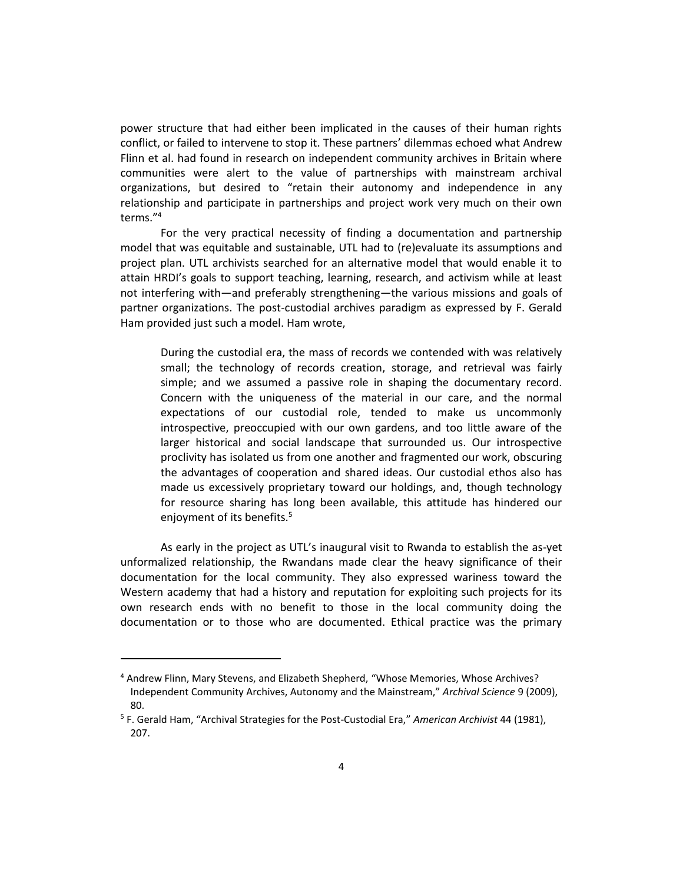power structure that had either been implicated in the causes of their human rights conflict, or failed to intervene to stop it. These partners' dilemmas echoed what Andrew Flinn et al. had found in research on independent community archives in Britain where communities were alert to the value of partnerships with mainstream archival organizations, but desired to "retain their autonomy and independence in any relationship and participate in partnerships and project work very much on their own terms." 4

For the very practical necessity of finding a documentation and partnership model that was equitable and sustainable, UTL had to (re)evaluate its assumptions and project plan. UTL archivists searched for an alternative model that would enable it to attain HRDI's goals to support teaching, learning, research, and activism while at least not interfering with—and preferably strengthening—the various missions and goals of partner organizations. The post-custodial archives paradigm as expressed by F. Gerald Ham provided just such a model. Ham wrote,

During the custodial era, the mass of records we contended with was relatively small; the technology of records creation, storage, and retrieval was fairly simple; and we assumed a passive role in shaping the documentary record. Concern with the uniqueness of the material in our care, and the normal expectations of our custodial role, tended to make us uncommonly introspective, preoccupied with our own gardens, and too little aware of the larger historical and social landscape that surrounded us. Our introspective proclivity has isolated us from one another and fragmented our work, obscuring the advantages of cooperation and shared ideas. Our custodial ethos also has made us excessively proprietary toward our holdings, and, though technology for resource sharing has long been available, this attitude has hindered our enjoyment of its benefits.<sup>5</sup>

As early in the project as UTL's inaugural visit to Rwanda to establish the as-yet unformalized relationship, the Rwandans made clear the heavy significance of their documentation for the local community. They also expressed wariness toward the Western academy that had a history and reputation for exploiting such projects for its own research ends with no benefit to those in the local community doing the documentation or to those who are documented. Ethical practice was the primary

<sup>4</sup> Andrew Flinn, Mary Stevens, and Elizabeth Shepherd, "Whose Memories, Whose Archives? Independent Community Archives, Autonomy and the Mainstream," *Archival Science* 9 (2009), 80.

<sup>5</sup> F. Gerald Ham, "Archival Strategies for the Post-Custodial Era," *American Archivist* 44 (1981), 207.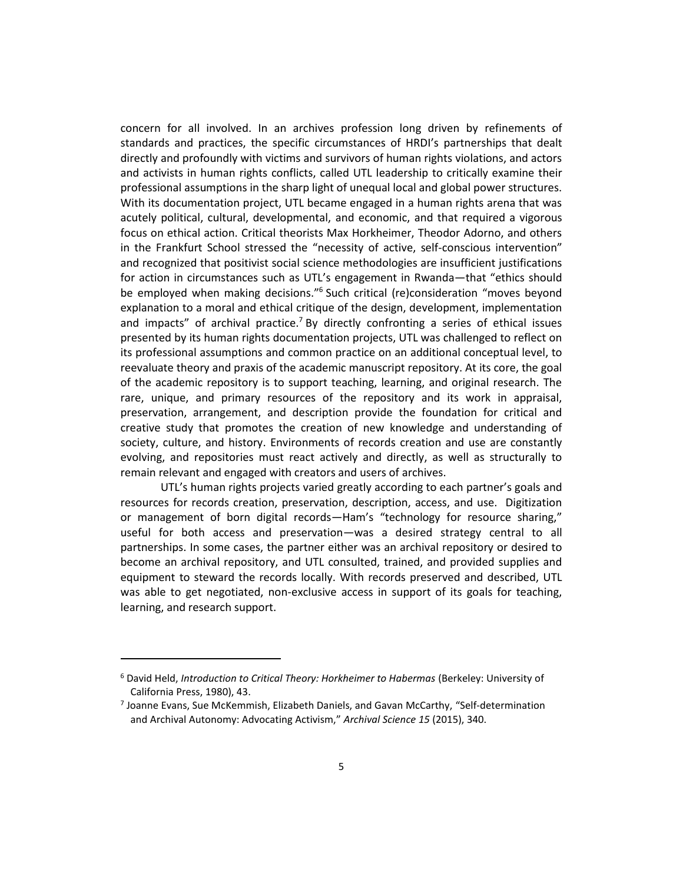concern for all involved. In an archives profession long driven by refinements of standards and practices, the specific circumstances of HRDI's partnerships that dealt directly and profoundly with victims and survivors of human rights violations, and actors and activists in human rights conflicts, called UTL leadership to critically examine their professional assumptions in the sharp light of unequal local and global power structures. With its documentation project, UTL became engaged in a human rights arena that was acutely political, cultural, developmental, and economic, and that required a vigorous focus on ethical action. Critical theorists Max Horkheimer, Theodor Adorno, and others in the Frankfurt School stressed the "necessity of active, self-conscious intervention" and recognized that positivist social science methodologies are insufficient justifications for action in circumstances such as UTL's engagement in Rwanda—that "ethics should be employed when making decisions."<sup>6</sup> Such critical (re)consideration "moves beyond explanation to a moral and ethical critique of the design, development, implementation and impacts" of archival practice.<sup>7</sup> By directly confronting a series of ethical issues presented by its human rights documentation projects, UTL was challenged to reflect on its professional assumptions and common practice on an additional conceptual level, to reevaluate theory and praxis of the academic manuscript repository. At its core, the goal of the academic repository is to support teaching, learning, and original research. The rare, unique, and primary resources of the repository and its work in appraisal, preservation, arrangement, and description provide the foundation for critical and creative study that promotes the creation of new knowledge and understanding of society, culture, and history. Environments of records creation and use are constantly evolving, and repositories must react actively and directly, as well as structurally to remain relevant and engaged with creators and users of archives.

UTL's human rights projects varied greatly according to each partner's goals and resources for records creation, preservation, description, access, and use. Digitization or management of born digital records—Ham's "technology for resource sharing," useful for both access and preservation—was a desired strategy central to all partnerships. In some cases, the partner either was an archival repository or desired to become an archival repository, and UTL consulted, trained, and provided supplies and equipment to steward the records locally. With records preserved and described, UTL was able to get negotiated, non-exclusive access in support of its goals for teaching, learning, and research support.

<sup>6</sup> David Held, *Introduction to Critical Theory: Horkheimer to Habermas* (Berkeley: University of California Press, 1980), 43.

<sup>7</sup> Joanne Evans, Sue McKemmish, Elizabeth Daniels, and Gavan McCarthy, "Self-determination and Archival Autonomy: Advocating Activism," *Archival Science 15* (2015), 340.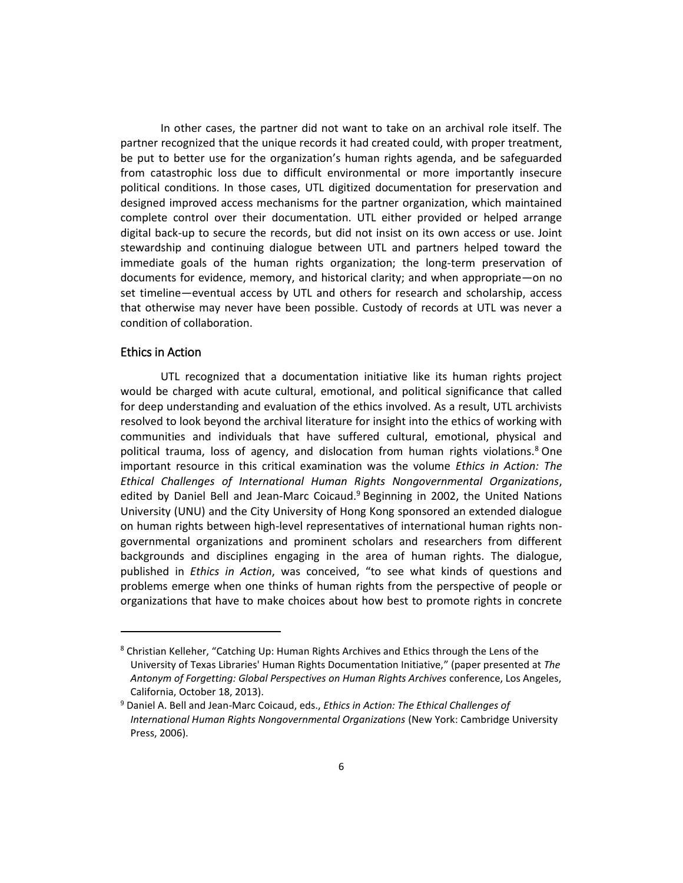In other cases, the partner did not want to take on an archival role itself. The partner recognized that the unique records it had created could, with proper treatment, be put to better use for the organization's human rights agenda, and be safeguarded from catastrophic loss due to difficult environmental or more importantly insecure political conditions. In those cases, UTL digitized documentation for preservation and designed improved access mechanisms for the partner organization, which maintained complete control over their documentation. UTL either provided or helped arrange digital back-up to secure the records, but did not insist on its own access or use. Joint stewardship and continuing dialogue between UTL and partners helped toward the immediate goals of the human rights organization; the long-term preservation of documents for evidence, memory, and historical clarity; and when appropriate—on no set timeline—eventual access by UTL and others for research and scholarship, access that otherwise may never have been possible. Custody of records at UTL was never a condition of collaboration.

## Ethics in Action

l

UTL recognized that a documentation initiative like its human rights project would be charged with acute cultural, emotional, and political significance that called for deep understanding and evaluation of the ethics involved. As a result, UTL archivists resolved to look beyond the archival literature for insight into the ethics of working with communities and individuals that have suffered cultural, emotional, physical and political trauma, loss of agency, and dislocation from human rights violations.<sup>8</sup> One important resource in this critical examination was the volume *Ethics in Action: The Ethical Challenges of International Human Rights Nongovernmental Organizations*, edited by Daniel Bell and Jean-Marc Coicaud.<sup>9</sup> Beginning in 2002, the United Nations University (UNU) and the City University of Hong Kong sponsored an extended dialogue on human rights between high-level representatives of international human rights nongovernmental organizations and prominent scholars and researchers from different backgrounds and disciplines engaging in the area of human rights. The dialogue, published in *Ethics in Action*, was conceived, "to see what kinds of questions and problems emerge when one thinks of human rights from the perspective of people or organizations that have to make choices about how best to promote rights in concrete

 $8$  Christian Kelleher, "Catching Up: Human Rights Archives and Ethics through the Lens of the University of Texas Libraries' Human Rights Documentation Initiative," (paper presented at *The Antonym of Forgetting: Global Perspectives on Human Rights Archives* conference, Los Angeles, California, October 18, 2013).

<sup>9</sup> Daniel A. Bell and Jean-Marc Coicaud, eds., *Ethics in Action: The Ethical Challenges of International Human Rights Nongovernmental Organizations* (New York: Cambridge University Press, 2006).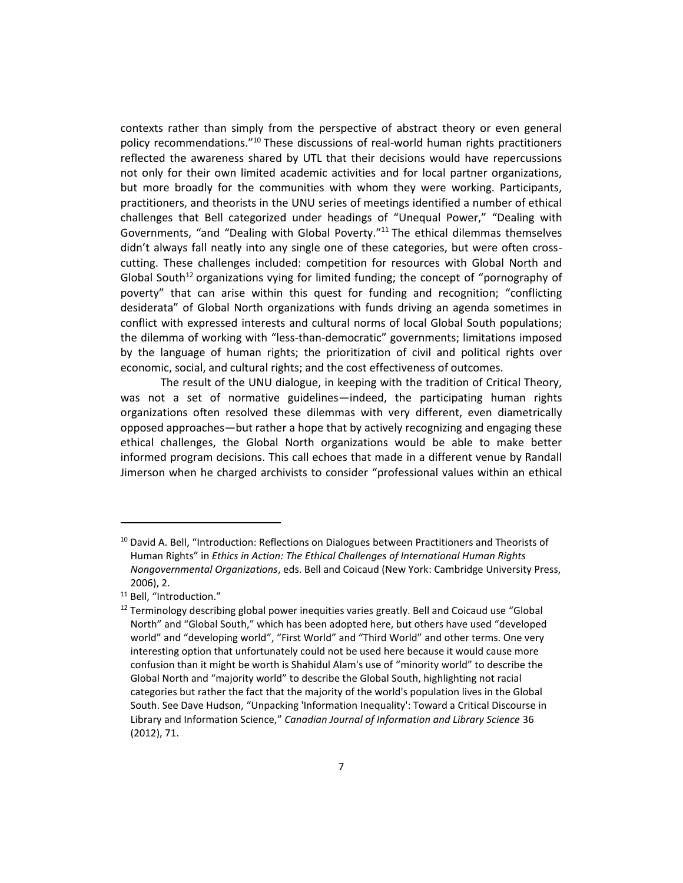contexts rather than simply from the perspective of abstract theory or even general policy recommendations."<sup>10</sup> These discussions of real-world human rights practitioners reflected the awareness shared by UTL that their decisions would have repercussions not only for their own limited academic activities and for local partner organizations, but more broadly for the communities with whom they were working. Participants, practitioners, and theorists in the UNU series of meetings identified a number of ethical challenges that Bell categorized under headings of "Unequal Power," "Dealing with Governments, "and "Dealing with Global Poverty."<sup>11</sup> The ethical dilemmas themselves didn't always fall neatly into any single one of these categories, but were often crosscutting. These challenges included: competition for resources with Global North and Global South<sup>12</sup> organizations vying for limited funding; the concept of "pornography of poverty" that can arise within this quest for funding and recognition; "conflicting desiderata" of Global North organizations with funds driving an agenda sometimes in conflict with expressed interests and cultural norms of local Global South populations; the dilemma of working with "less-than-democratic" governments; limitations imposed by the language of human rights; the prioritization of civil and political rights over economic, social, and cultural rights; and the cost effectiveness of outcomes.

The result of the UNU dialogue, in keeping with the tradition of Critical Theory, was not a set of normative guidelines—indeed, the participating human rights organizations often resolved these dilemmas with very different, even diametrically opposed approaches—but rather a hope that by actively recognizing and engaging these ethical challenges, the Global North organizations would be able to make better informed program decisions. This call echoes that made in a different venue by Randall Jimerson when he charged archivists to consider "professional values within an ethical

 $10$  David A. Bell, "Introduction: Reflections on Dialogues between Practitioners and Theorists of Human Rights" in *Ethics in Action: The Ethical Challenges of International Human Rights Nongovernmental Organizations*, eds. Bell and Coicaud (New York: Cambridge University Press, 2006), 2.

<sup>&</sup>lt;sup>11</sup> Bell. "Introduction."

 $12$  Terminology describing global power inequities varies greatly. Bell and Coicaud use "Global North" and "Global South," which has been adopted here, but others have used "developed world" and "developing world", "First World" and "Third World" and other terms. One very interesting option that unfortunately could not be used here because it would cause more confusion than it might be worth is Shahidul Alam's use of "minority world" to describe the Global North and "majority world" to describe the Global South, highlighting not racial categories but rather the fact that the majority of the world's population lives in the Global South. See Dave Hudson, "Unpacking 'Information Inequality': Toward a Critical Discourse in Library and Information Science," *Canadian Journal of Information and Library Science* 36 (2012), 71.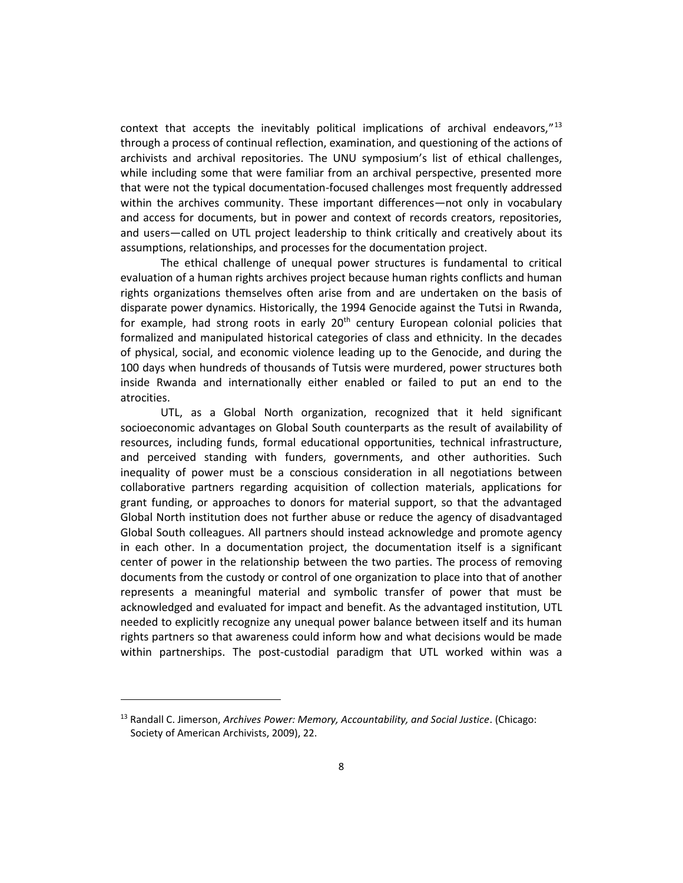context that accepts the inevitably political implications of archival endeavors,"<sup>13</sup> through a process of continual reflection, examination, and questioning of the actions of archivists and archival repositories. The UNU symposium's list of ethical challenges, while including some that were familiar from an archival perspective, presented more that were not the typical documentation-focused challenges most frequently addressed within the archives community. These important differences—not only in vocabulary and access for documents, but in power and context of records creators, repositories, and users—called on UTL project leadership to think critically and creatively about its assumptions, relationships, and processes for the documentation project.

The ethical challenge of unequal power structures is fundamental to critical evaluation of a human rights archives project because human rights conflicts and human rights organizations themselves often arise from and are undertaken on the basis of disparate power dynamics. Historically, the 1994 Genocide against the Tutsi in Rwanda, for example, had strong roots in early  $20<sup>th</sup>$  century European colonial policies that formalized and manipulated historical categories of class and ethnicity. In the decades of physical, social, and economic violence leading up to the Genocide, and during the 100 days when hundreds of thousands of Tutsis were murdered, power structures both inside Rwanda and internationally either enabled or failed to put an end to the atrocities.

UTL, as a Global North organization, recognized that it held significant socioeconomic advantages on Global South counterparts as the result of availability of resources, including funds, formal educational opportunities, technical infrastructure, and perceived standing with funders, governments, and other authorities. Such inequality of power must be a conscious consideration in all negotiations between collaborative partners regarding acquisition of collection materials, applications for grant funding, or approaches to donors for material support, so that the advantaged Global North institution does not further abuse or reduce the agency of disadvantaged Global South colleagues. All partners should instead acknowledge and promote agency in each other. In a documentation project, the documentation itself is a significant center of power in the relationship between the two parties. The process of removing documents from the custody or control of one organization to place into that of another represents a meaningful material and symbolic transfer of power that must be acknowledged and evaluated for impact and benefit. As the advantaged institution, UTL needed to explicitly recognize any unequal power balance between itself and its human rights partners so that awareness could inform how and what decisions would be made within partnerships. The post-custodial paradigm that UTL worked within was a

<sup>13</sup> Randall C. Jimerson, *Archives Power: Memory, Accountability, and Social Justice*. (Chicago: Society of American Archivists, 2009), 22.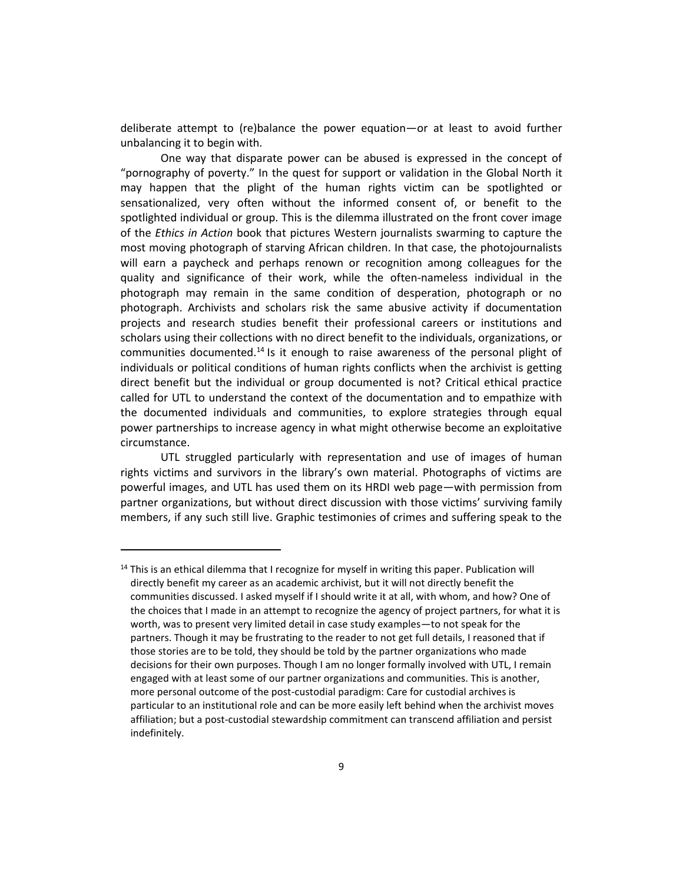deliberate attempt to (re)balance the power equation—or at least to avoid further unbalancing it to begin with.

One way that disparate power can be abused is expressed in the concept of "pornography of poverty." In the quest for support or validation in the Global North it may happen that the plight of the human rights victim can be spotlighted or sensationalized, very often without the informed consent of, or benefit to the spotlighted individual or group. This is the dilemma illustrated on the front cover image of the *Ethics in Action* book that pictures Western journalists swarming to capture the most moving photograph of starving African children. In that case, the photojournalists will earn a paycheck and perhaps renown or recognition among colleagues for the quality and significance of their work, while the often-nameless individual in the photograph may remain in the same condition of desperation, photograph or no photograph. Archivists and scholars risk the same abusive activity if documentation projects and research studies benefit their professional careers or institutions and scholars using their collections with no direct benefit to the individuals, organizations, or communities documented.<sup>14</sup> Is it enough to raise awareness of the personal plight of individuals or political conditions of human rights conflicts when the archivist is getting direct benefit but the individual or group documented is not? Critical ethical practice called for UTL to understand the context of the documentation and to empathize with the documented individuals and communities, to explore strategies through equal power partnerships to increase agency in what might otherwise become an exploitative circumstance.

UTL struggled particularly with representation and use of images of human rights victims and survivors in the library's own material. Photographs of victims are powerful images, and UTL has used them on its HRDI web page—with permission from partner organizations, but without direct discussion with those victims' surviving family members, if any such still live. Graphic testimonies of crimes and suffering speak to the

<sup>&</sup>lt;sup>14</sup> This is an ethical dilemma that I recognize for myself in writing this paper. Publication will directly benefit my career as an academic archivist, but it will not directly benefit the communities discussed. I asked myself if I should write it at all, with whom, and how? One of the choices that I made in an attempt to recognize the agency of project partners, for what it is worth, was to present very limited detail in case study examples—to not speak for the partners. Though it may be frustrating to the reader to not get full details, I reasoned that if those stories are to be told, they should be told by the partner organizations who made decisions for their own purposes. Though I am no longer formally involved with UTL, I remain engaged with at least some of our partner organizations and communities. This is another, more personal outcome of the post-custodial paradigm: Care for custodial archives is particular to an institutional role and can be more easily left behind when the archivist moves affiliation; but a post-custodial stewardship commitment can transcend affiliation and persist indefinitely.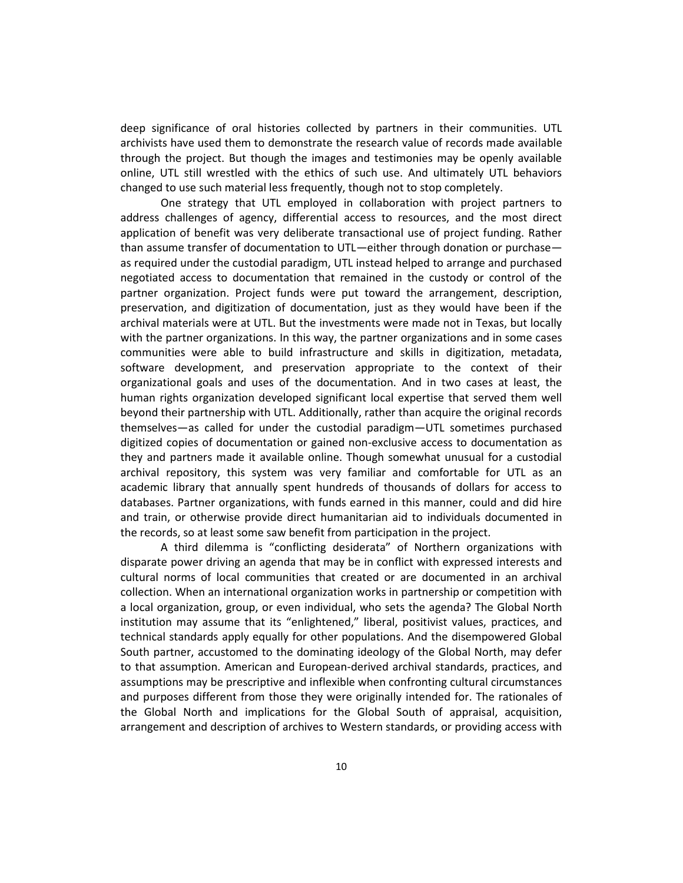deep significance of oral histories collected by partners in their communities. UTL archivists have used them to demonstrate the research value of records made available through the project. But though the images and testimonies may be openly available online, UTL still wrestled with the ethics of such use. And ultimately UTL behaviors changed to use such material less frequently, though not to stop completely.

One strategy that UTL employed in collaboration with project partners to address challenges of agency, differential access to resources, and the most direct application of benefit was very deliberate transactional use of project funding. Rather than assume transfer of documentation to UTL—either through donation or purchase as required under the custodial paradigm, UTL instead helped to arrange and purchased negotiated access to documentation that remained in the custody or control of the partner organization. Project funds were put toward the arrangement, description, preservation, and digitization of documentation, just as they would have been if the archival materials were at UTL. But the investments were made not in Texas, but locally with the partner organizations. In this way, the partner organizations and in some cases communities were able to build infrastructure and skills in digitization, metadata, software development, and preservation appropriate to the context of their organizational goals and uses of the documentation. And in two cases at least, the human rights organization developed significant local expertise that served them well beyond their partnership with UTL. Additionally, rather than acquire the original records themselves—as called for under the custodial paradigm—UTL sometimes purchased digitized copies of documentation or gained non-exclusive access to documentation as they and partners made it available online. Though somewhat unusual for a custodial archival repository, this system was very familiar and comfortable for UTL as an academic library that annually spent hundreds of thousands of dollars for access to databases. Partner organizations, with funds earned in this manner, could and did hire and train, or otherwise provide direct humanitarian aid to individuals documented in the records, so at least some saw benefit from participation in the project.

A third dilemma is "conflicting desiderata" of Northern organizations with disparate power driving an agenda that may be in conflict with expressed interests and cultural norms of local communities that created or are documented in an archival collection. When an international organization works in partnership or competition with a local organization, group, or even individual, who sets the agenda? The Global North institution may assume that its "enlightened," liberal, positivist values, practices, and technical standards apply equally for other populations. And the disempowered Global South partner, accustomed to the dominating ideology of the Global North, may defer to that assumption. American and European-derived archival standards, practices, and assumptions may be prescriptive and inflexible when confronting cultural circumstances and purposes different from those they were originally intended for. The rationales of the Global North and implications for the Global South of appraisal, acquisition, arrangement and description of archives to Western standards, or providing access with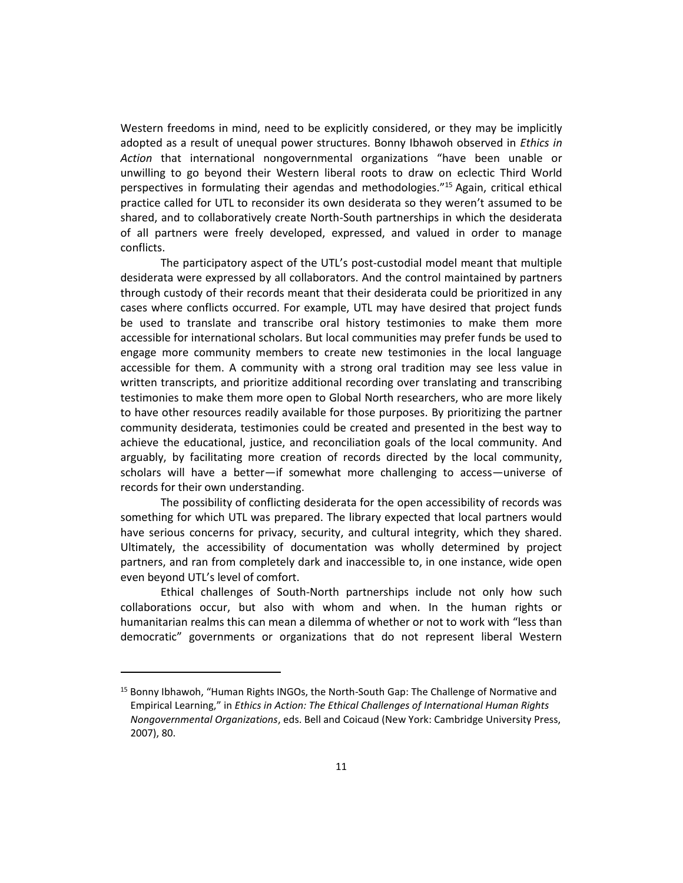Western freedoms in mind, need to be explicitly considered, or they may be implicitly adopted as a result of unequal power structures. Bonny Ibhawoh observed in *Ethics in Action* that international nongovernmental organizations "have been unable or unwilling to go beyond their Western liberal roots to draw on eclectic Third World perspectives in formulating their agendas and methodologies." <sup>15</sup> Again, critical ethical practice called for UTL to reconsider its own desiderata so they weren't assumed to be shared, and to collaboratively create North-South partnerships in which the desiderata of all partners were freely developed, expressed, and valued in order to manage conflicts.

The participatory aspect of the UTL's post-custodial model meant that multiple desiderata were expressed by all collaborators. And the control maintained by partners through custody of their records meant that their desiderata could be prioritized in any cases where conflicts occurred. For example, UTL may have desired that project funds be used to translate and transcribe oral history testimonies to make them more accessible for international scholars. But local communities may prefer funds be used to engage more community members to create new testimonies in the local language accessible for them. A community with a strong oral tradition may see less value in written transcripts, and prioritize additional recording over translating and transcribing testimonies to make them more open to Global North researchers, who are more likely to have other resources readily available for those purposes. By prioritizing the partner community desiderata, testimonies could be created and presented in the best way to achieve the educational, justice, and reconciliation goals of the local community. And arguably, by facilitating more creation of records directed by the local community, scholars will have a better—if somewhat more challenging to access—universe of records for their own understanding.

The possibility of conflicting desiderata for the open accessibility of records was something for which UTL was prepared. The library expected that local partners would have serious concerns for privacy, security, and cultural integrity, which they shared. Ultimately, the accessibility of documentation was wholly determined by project partners, and ran from completely dark and inaccessible to, in one instance, wide open even beyond UTL's level of comfort.

Ethical challenges of South-North partnerships include not only how such collaborations occur, but also with whom and when. In the human rights or humanitarian realms this can mean a dilemma of whether or not to work with "less than democratic" governments or organizations that do not represent liberal Western

<sup>&</sup>lt;sup>15</sup> Bonny Ibhawoh, "Human Rights INGOs, the North-South Gap: The Challenge of Normative and Empirical Learning," in *Ethics in Action: The Ethical Challenges of International Human Rights Nongovernmental Organizations*, eds. Bell and Coicaud (New York: Cambridge University Press, 2007), 80.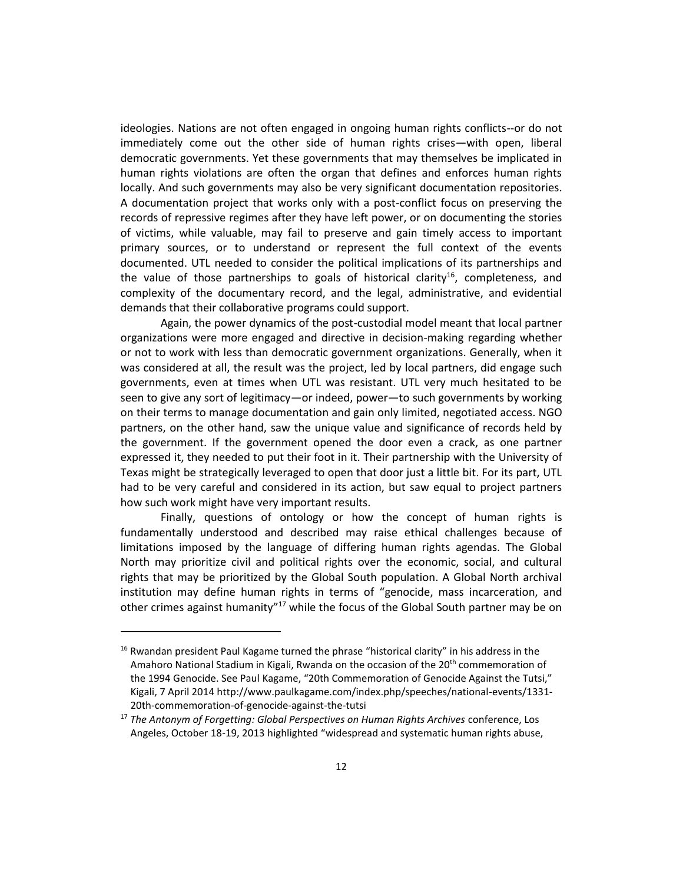ideologies. Nations are not often engaged in ongoing human rights conflicts--or do not immediately come out the other side of human rights crises—with open, liberal democratic governments. Yet these governments that may themselves be implicated in human rights violations are often the organ that defines and enforces human rights locally. And such governments may also be very significant documentation repositories. A documentation project that works only with a post-conflict focus on preserving the records of repressive regimes after they have left power, or on documenting the stories of victims, while valuable, may fail to preserve and gain timely access to important primary sources, or to understand or represent the full context of the events documented. UTL needed to consider the political implications of its partnerships and the value of those partnerships to goals of historical clarity<sup>16</sup>, completeness, and complexity of the documentary record, and the legal, administrative, and evidential demands that their collaborative programs could support.

Again, the power dynamics of the post-custodial model meant that local partner organizations were more engaged and directive in decision-making regarding whether or not to work with less than democratic government organizations. Generally, when it was considered at all, the result was the project, led by local partners, did engage such governments, even at times when UTL was resistant. UTL very much hesitated to be seen to give any sort of legitimacy—or indeed, power—to such governments by working on their terms to manage documentation and gain only limited, negotiated access. NGO partners, on the other hand, saw the unique value and significance of records held by the government. If the government opened the door even a crack, as one partner expressed it, they needed to put their foot in it. Their partnership with the University of Texas might be strategically leveraged to open that door just a little bit. For its part, UTL had to be very careful and considered in its action, but saw equal to project partners how such work might have very important results.

Finally, questions of ontology or how the concept of human rights is fundamentally understood and described may raise ethical challenges because of limitations imposed by the language of differing human rights agendas. The Global North may prioritize civil and political rights over the economic, social, and cultural rights that may be prioritized by the Global South population. A Global North archival institution may define human rights in terms of "genocide, mass incarceration, and other crimes against humanity"<sup>17</sup> while the focus of the Global South partner may be on

 $16$  Rwandan president Paul Kagame turned the phrase "historical clarity" in his address in the Amahoro National Stadium in Kigali, Rwanda on the occasion of the 20<sup>th</sup> commemoration of the 1994 Genocide. See Paul Kagame, "20th Commemoration of Genocide Against the Tutsi," Kigali, 7 April 2014 http://www.paulkagame.com/index.php/speeches/national-events/1331- 20th-commemoration-of-genocide-against-the-tutsi

<sup>17</sup> *The Antonym of Forgetting: Global Perspectives on Human Rights Archives* conference, Los Angeles, October 18-19, 2013 highlighted "widespread and systematic human rights abuse,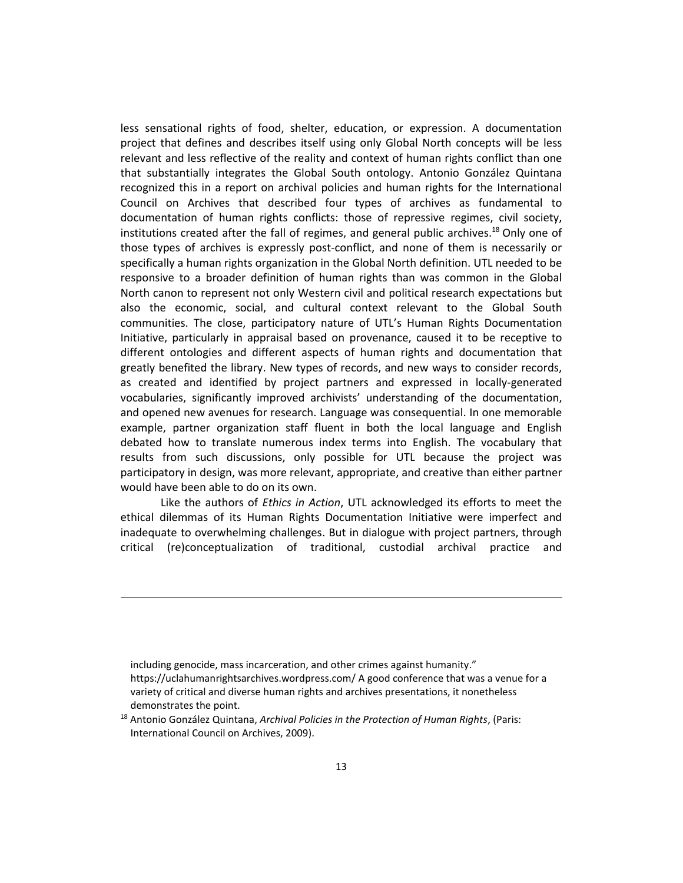less sensational rights of food, shelter, education, or expression. A documentation project that defines and describes itself using only Global North concepts will be less relevant and less reflective of the reality and context of human rights conflict than one that substantially integrates the Global South ontology. Antonio González Quintana recognized this in a report on archival policies and human rights for the International Council on Archives that described four types of archives as fundamental to documentation of human rights conflicts: those of repressive regimes, civil society, institutions created after the fall of regimes, and general public archives.<sup>18</sup> Only one of those types of archives is expressly post-conflict, and none of them is necessarily or specifically a human rights organization in the Global North definition. UTL needed to be responsive to a broader definition of human rights than was common in the Global North canon to represent not only Western civil and political research expectations but also the economic, social, and cultural context relevant to the Global South communities. The close, participatory nature of UTL's Human Rights Documentation Initiative, particularly in appraisal based on provenance, caused it to be receptive to different ontologies and different aspects of human rights and documentation that greatly benefited the library. New types of records, and new ways to consider records, as created and identified by project partners and expressed in locally-generated vocabularies, significantly improved archivists' understanding of the documentation, and opened new avenues for research. Language was consequential. In one memorable example, partner organization staff fluent in both the local language and English debated how to translate numerous index terms into English. The vocabulary that results from such discussions, only possible for UTL because the project was participatory in design, was more relevant, appropriate, and creative than either partner would have been able to do on its own.

Like the authors of *Ethics in Action*, UTL acknowledged its efforts to meet the ethical dilemmas of its Human Rights Documentation Initiative were imperfect and inadequate to overwhelming challenges. But in dialogue with project partners, through critical (re)conceptualization of traditional, custodial archival practice and

including genocide, mass incarceration, and other crimes against humanity." https://uclahumanrightsarchives.wordpress.com/ A good conference that was a venue for a variety of critical and diverse human rights and archives presentations, it nonetheless demonstrates the point.

<sup>18</sup> Antonio González Quintana, *Archival Policies in the Protection of Human Rights*, (Paris: International Council on Archives, 2009).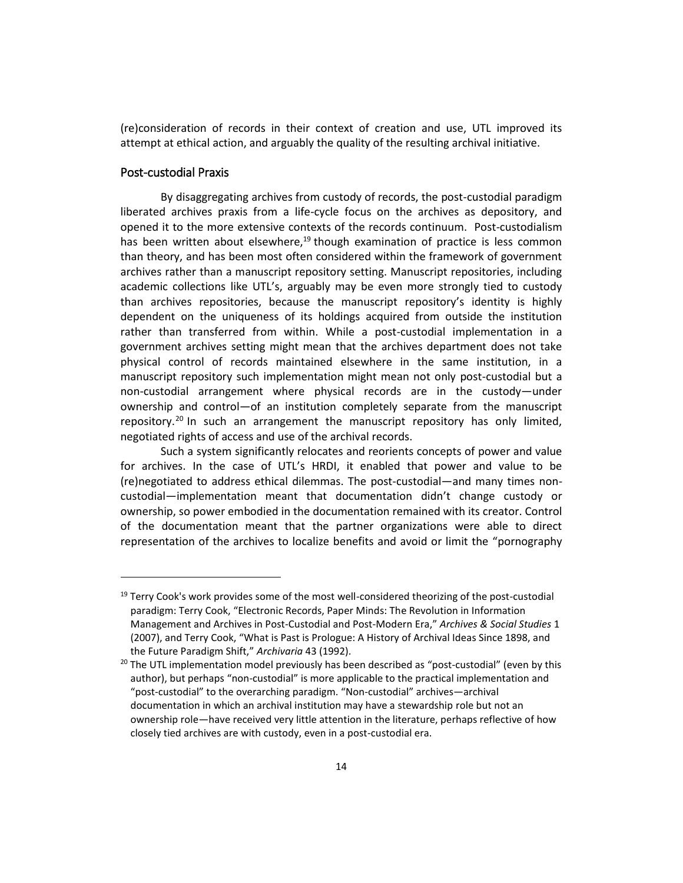(re)consideration of records in their context of creation and use, UTL improved its attempt at ethical action, and arguably the quality of the resulting archival initiative.

#### Post-custodial Praxis

 $\overline{a}$ 

By disaggregating archives from custody of records, the post-custodial paradigm liberated archives praxis from a life-cycle focus on the archives as depository, and opened it to the more extensive contexts of the records continuum. Post-custodialism has been written about elsewhere, $19$  though examination of practice is less common than theory, and has been most often considered within the framework of government archives rather than a manuscript repository setting. Manuscript repositories, including academic collections like UTL's, arguably may be even more strongly tied to custody than archives repositories, because the manuscript repository's identity is highly dependent on the uniqueness of its holdings acquired from outside the institution rather than transferred from within. While a post-custodial implementation in a government archives setting might mean that the archives department does not take physical control of records maintained elsewhere in the same institution, in a manuscript repository such implementation might mean not only post-custodial but a non-custodial arrangement where physical records are in the custody—under ownership and control—of an institution completely separate from the manuscript repository.<sup>20</sup> In such an arrangement the manuscript repository has only limited, negotiated rights of access and use of the archival records.

Such a system significantly relocates and reorients concepts of power and value for archives. In the case of UTL's HRDI, it enabled that power and value to be (re)negotiated to address ethical dilemmas. The post-custodial—and many times noncustodial—implementation meant that documentation didn't change custody or ownership, so power embodied in the documentation remained with its creator. Control of the documentation meant that the partner organizations were able to direct representation of the archives to localize benefits and avoid or limit the "pornography

<sup>&</sup>lt;sup>19</sup> Terry Cook's work provides some of the most well-considered theorizing of the post-custodial paradigm: Terry Cook, "Electronic Records, Paper Minds: The Revolution in Information Management and Archives in Post-Custodial and Post-Modern Era," *Archives & Social Studies* 1 (2007), and Terry Cook, "What is Past is Prologue: A History of Archival Ideas Since 1898, and the Future Paradigm Shift," *Archivaria* 43 (1992).

 $20$  The UTL implementation model previously has been described as "post-custodial" (even by this author), but perhaps "non-custodial" is more applicable to the practical implementation and "post-custodial" to the overarching paradigm. "Non-custodial" archives—archival documentation in which an archival institution may have a stewardship role but not an ownership role—have received very little attention in the literature, perhaps reflective of how closely tied archives are with custody, even in a post-custodial era.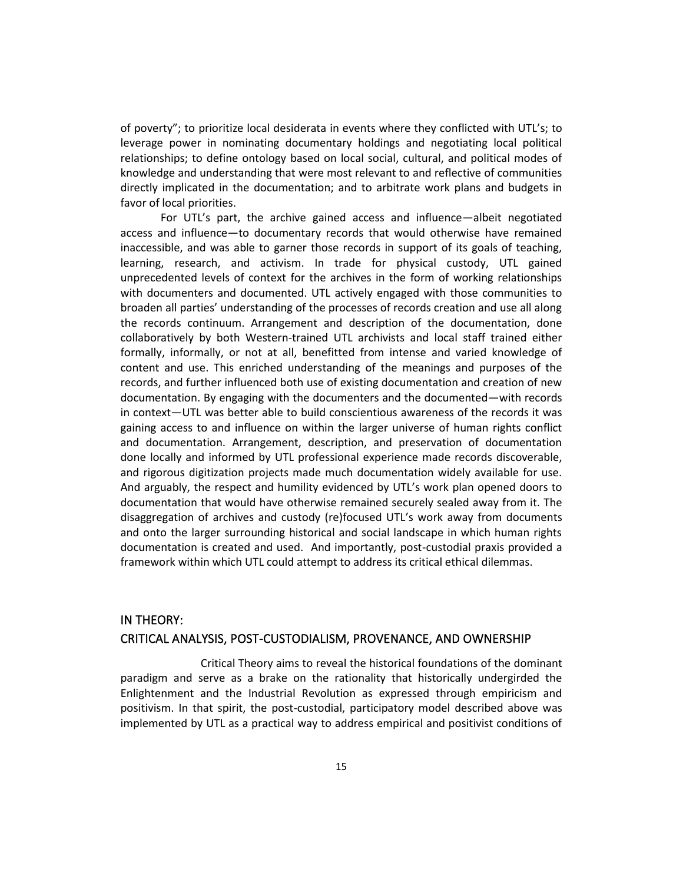of poverty"; to prioritize local desiderata in events where they conflicted with UTL's; to leverage power in nominating documentary holdings and negotiating local political relationships; to define ontology based on local social, cultural, and political modes of knowledge and understanding that were most relevant to and reflective of communities directly implicated in the documentation; and to arbitrate work plans and budgets in favor of local priorities.

For UTL's part, the archive gained access and influence—albeit negotiated access and influence—to documentary records that would otherwise have remained inaccessible, and was able to garner those records in support of its goals of teaching, learning, research, and activism. In trade for physical custody, UTL gained unprecedented levels of context for the archives in the form of working relationships with documenters and documented. UTL actively engaged with those communities to broaden all parties' understanding of the processes of records creation and use all along the records continuum. Arrangement and description of the documentation, done collaboratively by both Western-trained UTL archivists and local staff trained either formally, informally, or not at all, benefitted from intense and varied knowledge of content and use. This enriched understanding of the meanings and purposes of the records, and further influenced both use of existing documentation and creation of new documentation. By engaging with the documenters and the documented—with records in context—UTL was better able to build conscientious awareness of the records it was gaining access to and influence on within the larger universe of human rights conflict and documentation. Arrangement, description, and preservation of documentation done locally and informed by UTL professional experience made records discoverable, and rigorous digitization projects made much documentation widely available for use. And arguably, the respect and humility evidenced by UTL's work plan opened doors to documentation that would have otherwise remained securely sealed away from it. The disaggregation of archives and custody (re)focused UTL's work away from documents and onto the larger surrounding historical and social landscape in which human rights documentation is created and used. And importantly, post-custodial praxis provided a framework within which UTL could attempt to address its critical ethical dilemmas.

# IN THEORY: CRITICAL ANALYSIS, POST-CUSTODIALISM, PROVENANCE, AND OWNERSHIP

Critical Theory aims to reveal the historical foundations of the dominant paradigm and serve as a brake on the rationality that historically undergirded the Enlightenment and the Industrial Revolution as expressed through empiricism and positivism. In that spirit, the post-custodial, participatory model described above was implemented by UTL as a practical way to address empirical and positivist conditions of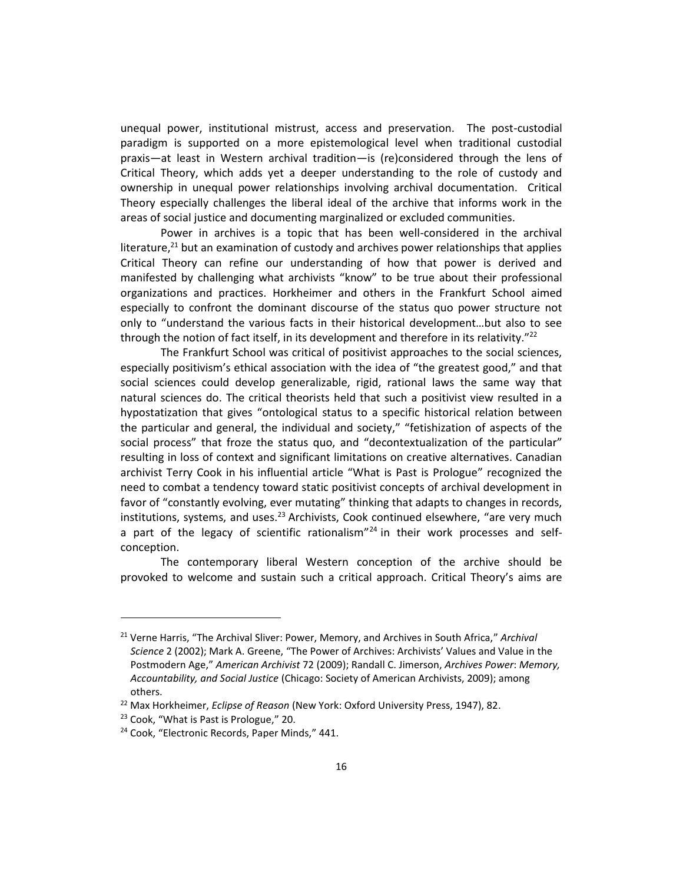unequal power, institutional mistrust, access and preservation. The post-custodial paradigm is supported on a more epistemological level when traditional custodial praxis—at least in Western archival tradition—is (re)considered through the lens of Critical Theory, which adds yet a deeper understanding to the role of custody and ownership in unequal power relationships involving archival documentation. Critical Theory especially challenges the liberal ideal of the archive that informs work in the areas of social justice and documenting marginalized or excluded communities.

Power in archives is a topic that has been well-considered in the archival literature, $^{21}$  but an examination of custody and archives power relationships that applies Critical Theory can refine our understanding of how that power is derived and manifested by challenging what archivists "know" to be true about their professional organizations and practices. Horkheimer and others in the Frankfurt School aimed especially to confront the dominant discourse of the status quo power structure not only to "understand the various facts in their historical development…but also to see through the notion of fact itself, in its development and therefore in its relativity."<sup>22</sup>

The Frankfurt School was critical of positivist approaches to the social sciences, especially positivism's ethical association with the idea of "the greatest good," and that social sciences could develop generalizable, rigid, rational laws the same way that natural sciences do. The critical theorists held that such a positivist view resulted in a hypostatization that gives "ontological status to a specific historical relation between the particular and general, the individual and society," "fetishization of aspects of the social process" that froze the status quo, and "decontextualization of the particular" resulting in loss of context and significant limitations on creative alternatives. Canadian archivist Terry Cook in his influential article "What is Past is Prologue" recognized the need to combat a tendency toward static positivist concepts of archival development in favor of "constantly evolving, ever mutating" thinking that adapts to changes in records, institutions, systems, and uses. $^{23}$  Archivists, Cook continued elsewhere, "are very much a part of the legacy of scientific rationalism"<sup>24</sup> in their work processes and selfconception.

The contemporary liberal Western conception of the archive should be provoked to welcome and sustain such a critical approach. Critical Theory's aims are

<sup>21</sup> Verne Harris, "The Archival Sliver: Power, Memory, and Archives in South Africa," *Archival Science* 2 (2002); Mark A. Greene, "The Power of Archives: Archivists' Values and Value in the Postmodern Age," *American Archivist* 72 (2009); Randall C. Jimerson, *Archives Power*: *Memory, Accountability, and Social Justice* (Chicago: Society of American Archivists, 2009); among others.

<sup>22</sup> Max Horkheimer, *Eclipse of Reason* (New York: Oxford University Press, 1947), 82.

<sup>&</sup>lt;sup>23</sup> Cook, "What is Past is Prologue," 20.

<sup>&</sup>lt;sup>24</sup> Cook, "Electronic Records, Paper Minds," 441.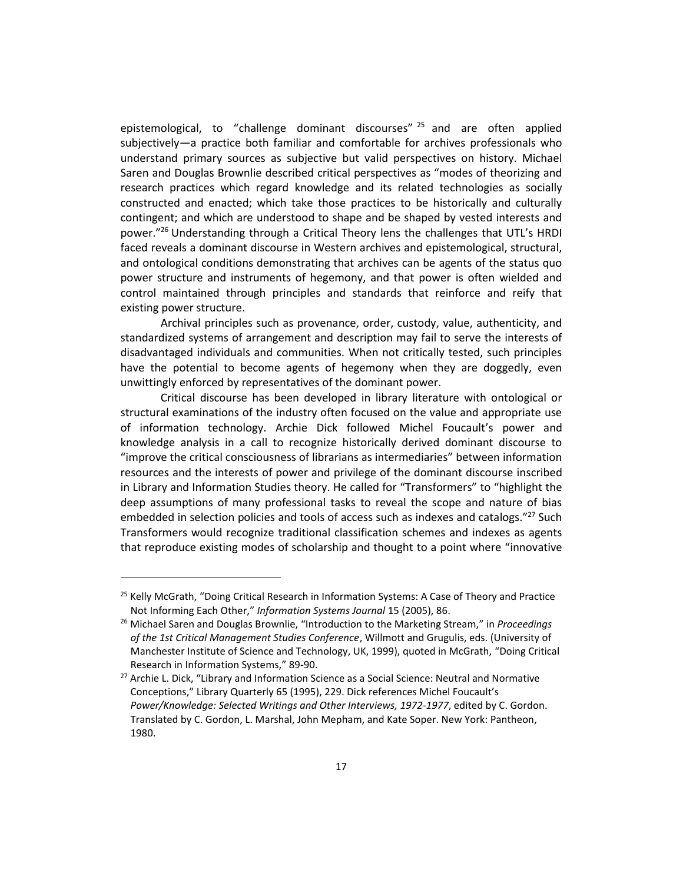epistemological, to "challenge dominant discourses"<sup>25</sup> and are often applied subjectively—a practice both familiar and comfortable for archives professionals who understand primary sources as subjective but valid perspectives on history. Michael Saren and Douglas Brownlie described critical perspectives as "modes of theorizing and research practices which regard knowledge and its related technologies as socially constructed and enacted; which take those practices to be historically and culturally contingent; and which are understood to shape and be shaped by vested interests and power."<sup>26</sup> Understanding through a Critical Theory lens the challenges that UTL's HRDI faced reveals a dominant discourse in Western archives and epistemological, structural, and ontological conditions demonstrating that archives can be agents of the status quo power structure and instruments of hegemony, and that power is often wielded and control maintained through principles and standards that reinforce and reify that existing power structure.

Archival principles such as provenance, order, custody, value, authenticity, and standardized systems of arrangement and description may fail to serve the interests of disadvantaged individuals and communities. When not critically tested, such principles have the potential to become agents of hegemony when they are doggedly, even unwittingly enforced by representatives of the dominant power.

Critical discourse has been developed in library literature with ontological or structural examinations of the industry often focused on the value and appropriate use of information technology. Archie Dick followed Michel Foucault's power and knowledge analysis in a call to recognize historically derived dominant discourse to "improve the critical consciousness of librarians as intermediaries" between information resources and the interests of power and privilege of the dominant discourse inscribed in Library and Information Studies theory. He called for "Transformers" to "highlight the deep assumptions of many professional tasks to reveal the scope and nature of bias embedded in selection policies and tools of access such as indexes and catalogs."<sup>27</sup> Such Transformers would recognize traditional classification schemes and indexes as agents that reproduce existing modes of scholarship and thought to a point where "innovative

 $\overline{a}$ 

<sup>&</sup>lt;sup>25</sup> Kelly McGrath, "Doing Critical Research in Information Systems: A Case of Theory and Practice Not Informing Each Other," *Information Systems Journal* 15 (2005), 86.

<sup>26</sup> Michael Saren and Douglas Brownlie, "Introduction to the Marketing Stream," in *Proceedings of the 1st Critical Management Studies Conference*, Willmott and Grugulis, eds. (University of Manchester Institute of Science and Technology, UK, 1999), quoted in McGrath, "Doing Critical Research in Information Systems," 89-90.

<sup>&</sup>lt;sup>27</sup> Archie L. Dick, "Library and Information Science as a Social Science: Neutral and Normative Conceptions," Library Quarterly 65 (1995), 229. Dick references Michel Foucault's *Power/Knowledge: Selected Writings and Other Interviews, 1972-1977*, edited by C. Gordon. Translated by C. Gordon, L. Marshal, John Mepham, and Kate Soper. New York: Pantheon, 1980.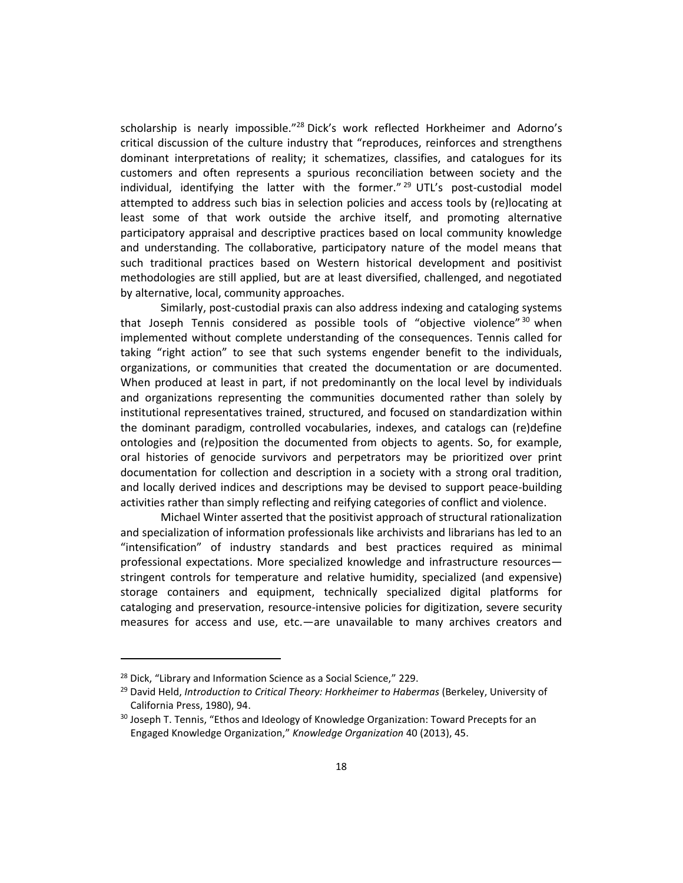scholarship is nearly impossible."<sup>28</sup> Dick's work reflected Horkheimer and Adorno's critical discussion of the culture industry that "reproduces, reinforces and strengthens dominant interpretations of reality; it schematizes, classifies, and catalogues for its customers and often represents a spurious reconciliation between society and the individual, identifying the latter with the former." <sup>29</sup> UTL's post-custodial model attempted to address such bias in selection policies and access tools by (re)locating at least some of that work outside the archive itself, and promoting alternative participatory appraisal and descriptive practices based on local community knowledge and understanding. The collaborative, participatory nature of the model means that such traditional practices based on Western historical development and positivist methodologies are still applied, but are at least diversified, challenged, and negotiated by alternative, local, community approaches.

Similarly, post-custodial praxis can also address indexing and cataloging systems that Joseph Tennis considered as possible tools of "objective violence"<sup>30</sup> when implemented without complete understanding of the consequences. Tennis called for taking "right action" to see that such systems engender benefit to the individuals, organizations, or communities that created the documentation or are documented. When produced at least in part, if not predominantly on the local level by individuals and organizations representing the communities documented rather than solely by institutional representatives trained, structured, and focused on standardization within the dominant paradigm, controlled vocabularies, indexes, and catalogs can (re)define ontologies and (re)position the documented from objects to agents. So, for example, oral histories of genocide survivors and perpetrators may be prioritized over print documentation for collection and description in a society with a strong oral tradition, and locally derived indices and descriptions may be devised to support peace-building activities rather than simply reflecting and reifying categories of conflict and violence.

Michael Winter asserted that the positivist approach of structural rationalization and specialization of information professionals like archivists and librarians has led to an "intensification" of industry standards and best practices required as minimal professional expectations. More specialized knowledge and infrastructure resources stringent controls for temperature and relative humidity, specialized (and expensive) storage containers and equipment, technically specialized digital platforms for cataloging and preservation, resource-intensive policies for digitization, severe security measures for access and use, etc.—are unavailable to many archives creators and

 $28$  Dick, "Library and Information Science as a Social Science," 229.

<sup>29</sup> David Held, *Introduction to Critical Theory: Horkheimer to Habermas* (Berkeley, University of California Press, 1980), 94.

<sup>&</sup>lt;sup>30</sup> Joseph T. Tennis, "Ethos and Ideology of Knowledge Organization: Toward Precepts for an Engaged Knowledge Organization," *Knowledge Organization* 40 (2013), 45.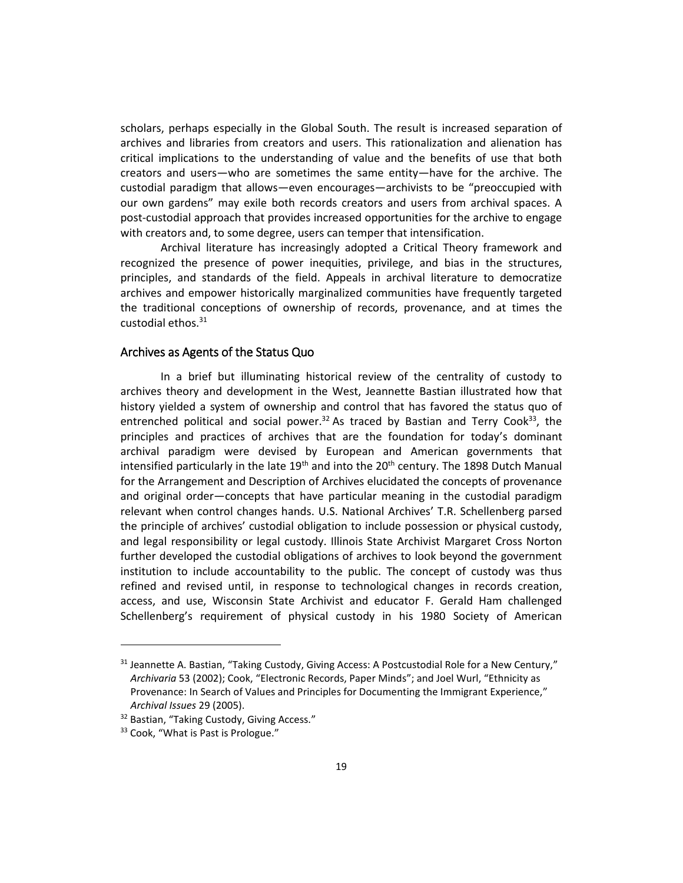scholars, perhaps especially in the Global South. The result is increased separation of archives and libraries from creators and users. This rationalization and alienation has critical implications to the understanding of value and the benefits of use that both creators and users—who are sometimes the same entity—have for the archive. The custodial paradigm that allows—even encourages—archivists to be "preoccupied with our own gardens" may exile both records creators and users from archival spaces. A post-custodial approach that provides increased opportunities for the archive to engage with creators and, to some degree, users can temper that intensification.

Archival literature has increasingly adopted a Critical Theory framework and recognized the presence of power inequities, privilege, and bias in the structures, principles, and standards of the field. Appeals in archival literature to democratize archives and empower historically marginalized communities have frequently targeted the traditional conceptions of ownership of records, provenance, and at times the custodial ethos.<sup>31</sup>

#### Archives as Agents of the Status Quo

In a brief but illuminating historical review of the centrality of custody to archives theory and development in the West, Jeannette Bastian illustrated how that history yielded a system of ownership and control that has favored the status quo of entrenched political and social power.<sup>32</sup> As traced by Bastian and Terry Cook<sup>33</sup>, the principles and practices of archives that are the foundation for today's dominant archival paradigm were devised by European and American governments that intensified particularly in the late  $19<sup>th</sup>$  and into the  $20<sup>th</sup>$  century. The 1898 Dutch Manual for the Arrangement and Description of Archives elucidated the concepts of provenance and original order—concepts that have particular meaning in the custodial paradigm relevant when control changes hands. U.S. National Archives' T.R. Schellenberg parsed the principle of archives' custodial obligation to include possession or physical custody, and legal responsibility or legal custody. Illinois State Archivist Margaret Cross Norton further developed the custodial obligations of archives to look beyond the government institution to include accountability to the public. The concept of custody was thus refined and revised until, in response to technological changes in records creation, access, and use, Wisconsin State Archivist and educator F. Gerald Ham challenged Schellenberg's requirement of physical custody in his 1980 Society of American

 $31$  Jeannette A. Bastian, "Taking Custody, Giving Access: A Postcustodial Role for a New Century," *Archivaria* 53 (2002); Cook, "Electronic Records, Paper Minds"; and Joel Wurl, "Ethnicity as Provenance: In Search of Values and Principles for Documenting the Immigrant Experience," *Archival Issues* 29 (2005).

<sup>&</sup>lt;sup>32</sup> Bastian, "Taking Custody, Giving Access."

<sup>33</sup> Cook, "What is Past is Prologue."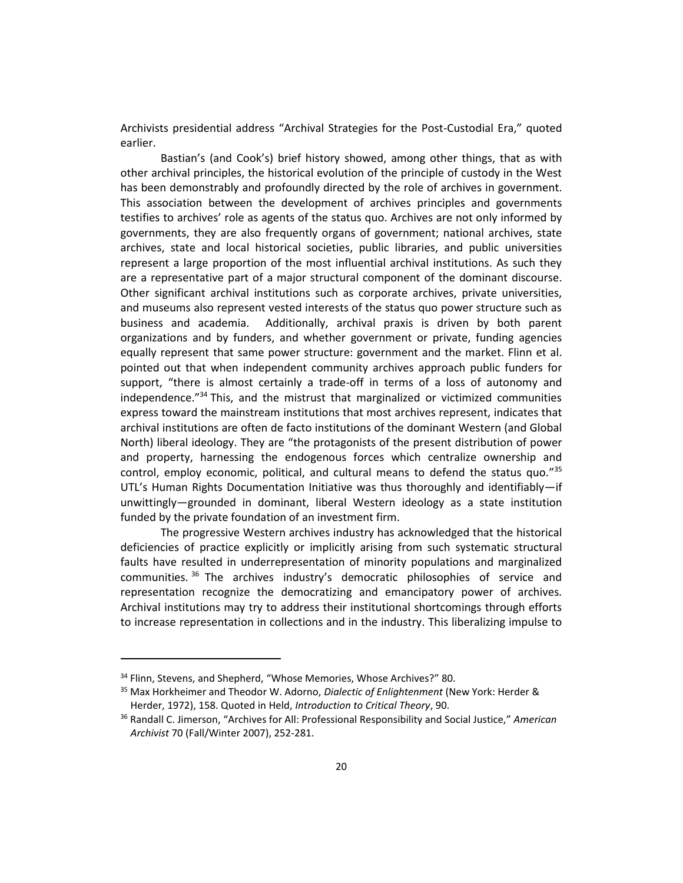Archivists presidential address "Archival Strategies for the Post-Custodial Era," quoted earlier.

Bastian's (and Cook's) brief history showed, among other things, that as with other archival principles, the historical evolution of the principle of custody in the West has been demonstrably and profoundly directed by the role of archives in government. This association between the development of archives principles and governments testifies to archives' role as agents of the status quo. Archives are not only informed by governments, they are also frequently organs of government; national archives, state archives, state and local historical societies, public libraries, and public universities represent a large proportion of the most influential archival institutions. As such they are a representative part of a major structural component of the dominant discourse. Other significant archival institutions such as corporate archives, private universities, and museums also represent vested interests of the status quo power structure such as business and academia. Additionally, archival praxis is driven by both parent organizations and by funders, and whether government or private, funding agencies equally represent that same power structure: government and the market. Flinn et al. pointed out that when independent community archives approach public funders for support, "there is almost certainly a trade-off in terms of a loss of autonomy and independence." <sup>34</sup> This, and the mistrust that marginalized or victimized communities express toward the mainstream institutions that most archives represent, indicates that archival institutions are often de facto institutions of the dominant Western (and Global North) liberal ideology. They are "the protagonists of the present distribution of power and property, harnessing the endogenous forces which centralize ownership and control, employ economic, political, and cultural means to defend the status quo."<sup>35</sup> UTL's Human Rights Documentation Initiative was thus thoroughly and identifiably—if unwittingly—grounded in dominant, liberal Western ideology as a state institution funded by the private foundation of an investment firm.

The progressive Western archives industry has acknowledged that the historical deficiencies of practice explicitly or implicitly arising from such systematic structural faults have resulted in underrepresentation of minority populations and marginalized communities. <sup>36</sup> The archives industry's democratic philosophies of service and representation recognize the democratizing and emancipatory power of archives. Archival institutions may try to address their institutional shortcomings through efforts to increase representation in collections and in the industry. This liberalizing impulse to

<sup>&</sup>lt;sup>34</sup> Flinn, Stevens, and Shepherd, "Whose Memories, Whose Archives?" 80.

<sup>35</sup> Max Horkheimer and Theodor W. Adorno, *Dialectic of Enlightenment* (New York: Herder & Herder, 1972), 158. Quoted in Held, *Introduction to Critical Theory*, 90.

<sup>36</sup> Randall C. Jimerson, "Archives for All: Professional Responsibility and Social Justice," *American Archivist* 70 (Fall/Winter 2007), 252-281.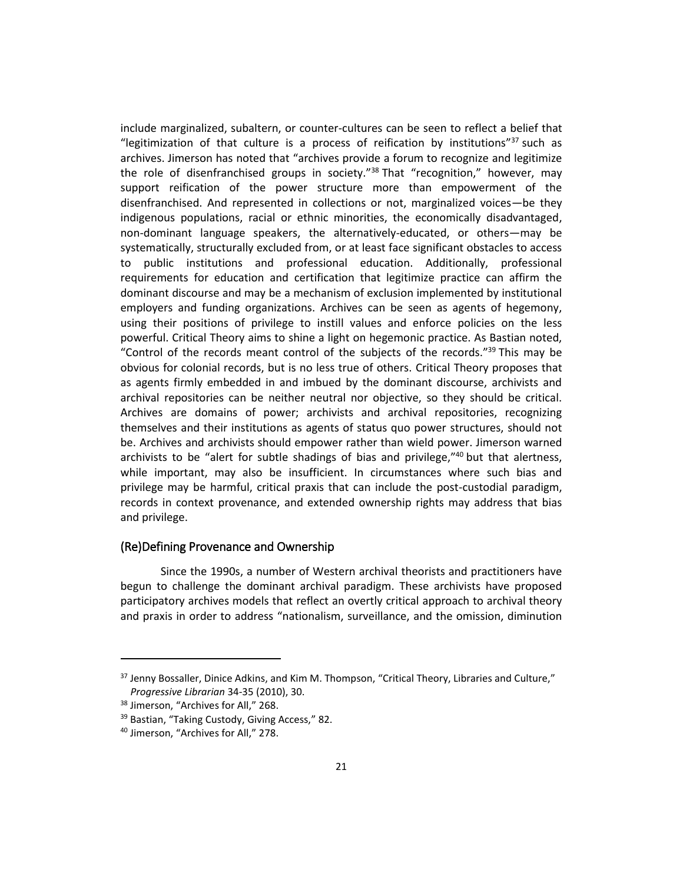include marginalized, subaltern, or counter-cultures can be seen to reflect a belief that "legitimization of that culture is a process of reification by institutions" $37$  such as archives. Jimerson has noted that "archives provide a forum to recognize and legitimize the role of disenfranchised groups in society."<sup>38</sup> That "recognition," however, may support reification of the power structure more than empowerment of the disenfranchised. And represented in collections or not, marginalized voices—be they indigenous populations, racial or ethnic minorities, the economically disadvantaged, non-dominant language speakers, the alternatively-educated, or others—may be systematically, structurally excluded from, or at least face significant obstacles to access to public institutions and professional education. Additionally, professional requirements for education and certification that legitimize practice can affirm the dominant discourse and may be a mechanism of exclusion implemented by institutional employers and funding organizations. Archives can be seen as agents of hegemony, using their positions of privilege to instill values and enforce policies on the less powerful. Critical Theory aims to shine a light on hegemonic practice. As Bastian noted, "Control of the records meant control of the subjects of the records."<sup>39</sup> This may be obvious for colonial records, but is no less true of others. Critical Theory proposes that as agents firmly embedded in and imbued by the dominant discourse, archivists and archival repositories can be neither neutral nor objective, so they should be critical. Archives are domains of power; archivists and archival repositories, recognizing themselves and their institutions as agents of status quo power structures, should not be. Archives and archivists should empower rather than wield power. Jimerson warned archivists to be "alert for subtle shadings of bias and privilege," <sup>40</sup> but that alertness, while important, may also be insufficient. In circumstances where such bias and privilege may be harmful, critical praxis that can include the post-custodial paradigm, records in context provenance, and extended ownership rights may address that bias and privilege.

#### (Re)Defining Provenance and Ownership

Since the 1990s, a number of Western archival theorists and practitioners have begun to challenge the dominant archival paradigm. These archivists have proposed participatory archives models that reflect an overtly critical approach to archival theory and praxis in order to address "nationalism, surveillance, and the omission, diminution

<sup>&</sup>lt;sup>37</sup> Jenny Bossaller, Dinice Adkins, and Kim M. Thompson, "Critical Theory, Libraries and Culture," *Progressive Librarian* 34-35 (2010), 30.

<sup>&</sup>lt;sup>38</sup> Jimerson, "Archives for All," 268.

<sup>&</sup>lt;sup>39</sup> Bastian, "Taking Custody, Giving Access," 82.

<sup>40</sup> Jimerson, "Archives for All," 278.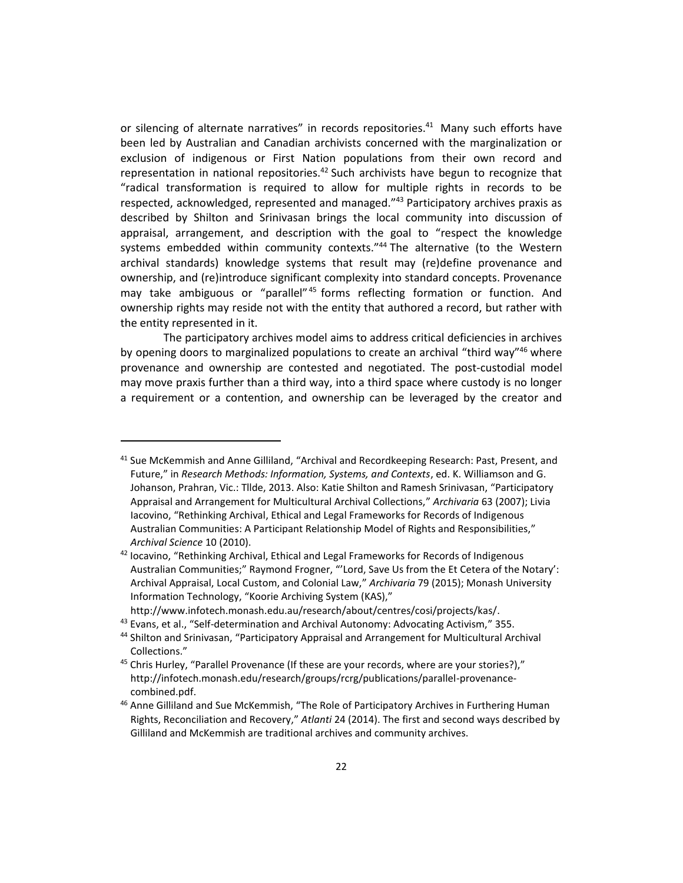or silencing of alternate narratives" in records repositories.<sup>41</sup> Many such efforts have been led by Australian and Canadian archivists concerned with the marginalization or exclusion of indigenous or First Nation populations from their own record and representation in national repositories. $42$  Such archivists have begun to recognize that "radical transformation is required to allow for multiple rights in records to be respected, acknowledged, represented and managed."<sup>43</sup> Participatory archives praxis as described by Shilton and Srinivasan brings the local community into discussion of appraisal, arrangement, and description with the goal to "respect the knowledge systems embedded within community contexts." <sup>44</sup> The alternative (to the Western archival standards) knowledge systems that result may (re)define provenance and ownership, and (re)introduce significant complexity into standard concepts. Provenance may take ambiguous or "parallel"<sup>45</sup> forms reflecting formation or function. And ownership rights may reside not with the entity that authored a record, but rather with the entity represented in it.

The participatory archives model aims to address critical deficiencies in archives by opening doors to marginalized populations to create an archival "third way"<sup>46</sup> where provenance and ownership are contested and negotiated. The post-custodial model may move praxis further than a third way, into a third space where custody is no longer a requirement or a contention, and ownership can be leveraged by the creator and

 $41$  Sue McKemmish and Anne Gilliland, "Archival and Recordkeeping Research: Past, Present, and Future," in *Research Methods: Information, Systems, and Contexts*, ed. K. Williamson and G. Johanson, Prahran, Vic.: Tllde, 2013. Also: Katie Shilton and Ramesh Srinivasan, "Participatory Appraisal and Arrangement for Multicultural Archival Collections," *Archivaria* 63 (2007); Livia Iacovino, "Rethinking Archival, Ethical and Legal Frameworks for Records of Indigenous Australian Communities: A Participant Relationship Model of Rights and Responsibilities," *Archival Science* 10 (2010).

 $42$  locavino, "Rethinking Archival, Ethical and Legal Frameworks for Records of Indigenous Australian Communities;" Raymond Frogner, "'Lord, Save Us from the Et Cetera of the Notary': Archival Appraisal, Local Custom, and Colonial Law," *Archivaria* 79 (2015); Monash University Information Technology, "Koorie Archiving System (KAS),"

http://www.infotech.monash.edu.au/research/about/centres/cosi/projects/kas/.

<sup>&</sup>lt;sup>43</sup> Evans, et al., "Self-determination and Archival Autonomy: Advocating Activism," 355.

<sup>44</sup> Shilton and Srinivasan, "Participatory Appraisal and Arrangement for Multicultural Archival Collections."

<sup>&</sup>lt;sup>45</sup> Chris Hurley, "Parallel Provenance (If these are your records, where are your stories?)," http://infotech.monash.edu/research/groups/rcrg/publications/parallel-provenancecombined.pdf.

<sup>&</sup>lt;sup>46</sup> Anne Gilliland and Sue McKemmish, "The Role of Participatory Archives in Furthering Human Rights, Reconciliation and Recovery," *Atlanti* 24 (2014). The first and second ways described by Gilliland and McKemmish are traditional archives and community archives.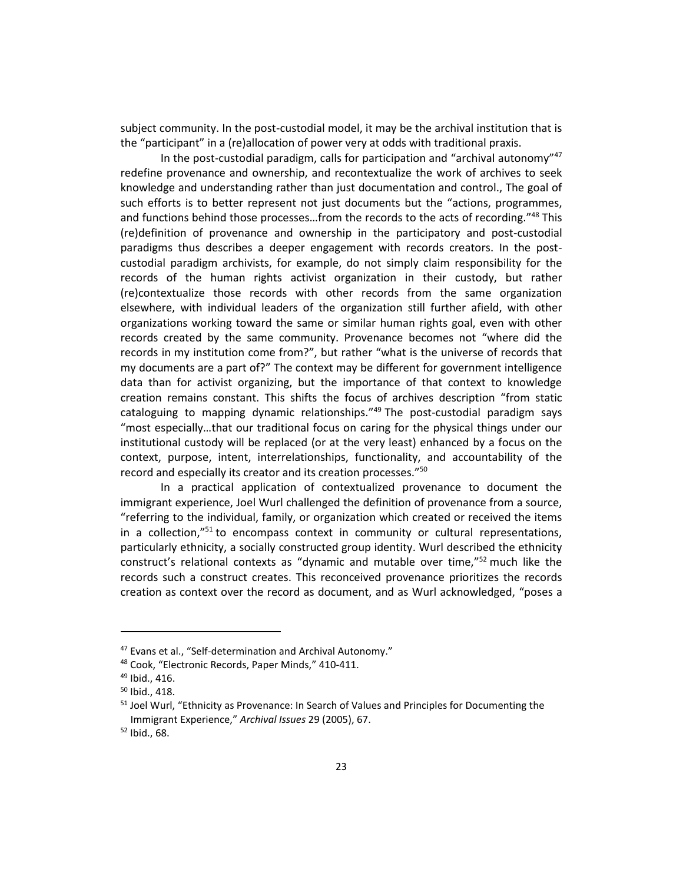subject community. In the post-custodial model, it may be the archival institution that is the "participant" in a (re)allocation of power very at odds with traditional praxis.

In the post-custodial paradigm, calls for participation and "archival autonomy"<sup>47</sup> redefine provenance and ownership, and recontextualize the work of archives to seek knowledge and understanding rather than just documentation and control., The goal of such efforts is to better represent not just documents but the "actions, programmes, and functions behind those processes...from the records to the acts of recording."<sup>48</sup> This (re)definition of provenance and ownership in the participatory and post-custodial paradigms thus describes a deeper engagement with records creators. In the postcustodial paradigm archivists, for example, do not simply claim responsibility for the records of the human rights activist organization in their custody, but rather (re)contextualize those records with other records from the same organization elsewhere, with individual leaders of the organization still further afield, with other organizations working toward the same or similar human rights goal, even with other records created by the same community. Provenance becomes not "where did the records in my institution come from?", but rather "what is the universe of records that my documents are a part of?" The context may be different for government intelligence data than for activist organizing, but the importance of that context to knowledge creation remains constant. This shifts the focus of archives description "from static cataloguing to mapping dynamic relationships."<sup>49</sup> The post-custodial paradigm says "most especially…that our traditional focus on caring for the physical things under our institutional custody will be replaced (or at the very least) enhanced by a focus on the context, purpose, intent, interrelationships, functionality, and accountability of the record and especially its creator and its creation processes."<sup>50</sup>

In a practical application of contextualized provenance to document the immigrant experience, Joel Wurl challenged the definition of provenance from a source, "referring to the individual, family, or organization which created or received the items in a collection,"<sup>51</sup> to encompass context in community or cultural representations, particularly ethnicity, a socially constructed group identity. Wurl described the ethnicity construct's relational contexts as "dynamic and mutable over time," <sup>52</sup> much like the records such a construct creates. This reconceived provenance prioritizes the records creation as context over the record as document, and as Wurl acknowledged, "poses a

<sup>&</sup>lt;sup>47</sup> Evans et al., "Self-determination and Archival Autonomy."

<sup>48</sup> Cook, "Electronic Records, Paper Minds," 410-411.

<sup>49</sup> Ibid., 416.

 $50$  Ibid., 418.

<sup>&</sup>lt;sup>51</sup> Joel Wurl, "Ethnicity as Provenance: In Search of Values and Principles for Documenting the Immigrant Experience," *Archival Issues* 29 (2005), 67.

<sup>52</sup> Ibid., 68.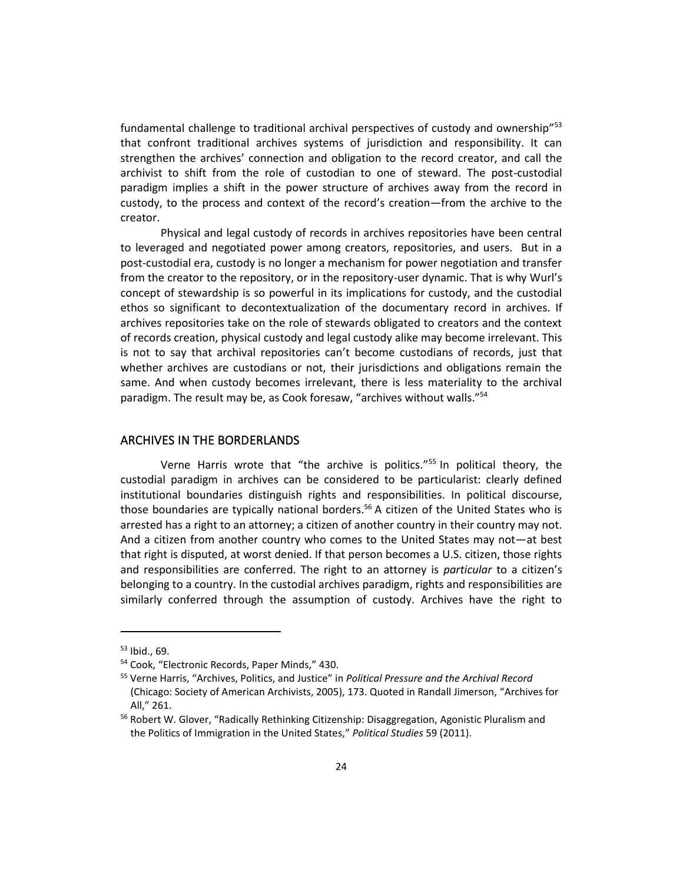fundamental challenge to traditional archival perspectives of custody and ownership"<sup>53</sup> that confront traditional archives systems of jurisdiction and responsibility. It can strengthen the archives' connection and obligation to the record creator, and call the archivist to shift from the role of custodian to one of steward. The post-custodial paradigm implies a shift in the power structure of archives away from the record in custody, to the process and context of the record's creation—from the archive to the creator.

Physical and legal custody of records in archives repositories have been central to leveraged and negotiated power among creators, repositories, and users. But in a post-custodial era, custody is no longer a mechanism for power negotiation and transfer from the creator to the repository, or in the repository-user dynamic. That is why Wurl's concept of stewardship is so powerful in its implications for custody, and the custodial ethos so significant to decontextualization of the documentary record in archives. If archives repositories take on the role of stewards obligated to creators and the context of records creation, physical custody and legal custody alike may become irrelevant. This is not to say that archival repositories can't become custodians of records, just that whether archives are custodians or not, their jurisdictions and obligations remain the same. And when custody becomes irrelevant, there is less materiality to the archival paradigm. The result may be, as Cook foresaw, "archives without walls."<sup>54</sup>

#### ARCHIVES IN THE BORDERLANDS

Verne Harris wrote that "the archive is politics." <sup>55</sup> In political theory, the custodial paradigm in archives can be considered to be particularist: clearly defined institutional boundaries distinguish rights and responsibilities. In political discourse, those boundaries are typically national borders.<sup>56</sup> A citizen of the United States who is arrested has a right to an attorney; a citizen of another country in their country may not. And a citizen from another country who comes to the United States may not—at best that right is disputed, at worst denied. If that person becomes a U.S. citizen, those rights and responsibilities are conferred. The right to an attorney is *particular* to a citizen's belonging to a country. In the custodial archives paradigm, rights and responsibilities are similarly conferred through the assumption of custody. Archives have the right to

<sup>53</sup> Ibid., 69.

<sup>54</sup> Cook, "Electronic Records, Paper Minds," 430.

<sup>55</sup> Verne Harris, "Archives, Politics, and Justice" in *Political Pressure and the Archival Record* (Chicago: Society of American Archivists, 2005), 173. Quoted in Randall Jimerson, "Archives for All," 261.

<sup>&</sup>lt;sup>56</sup> Robert W. Glover, "Radically Rethinking Citizenship: Disaggregation, Agonistic Pluralism and the Politics of Immigration in the United States," *Political Studies* 59 (2011).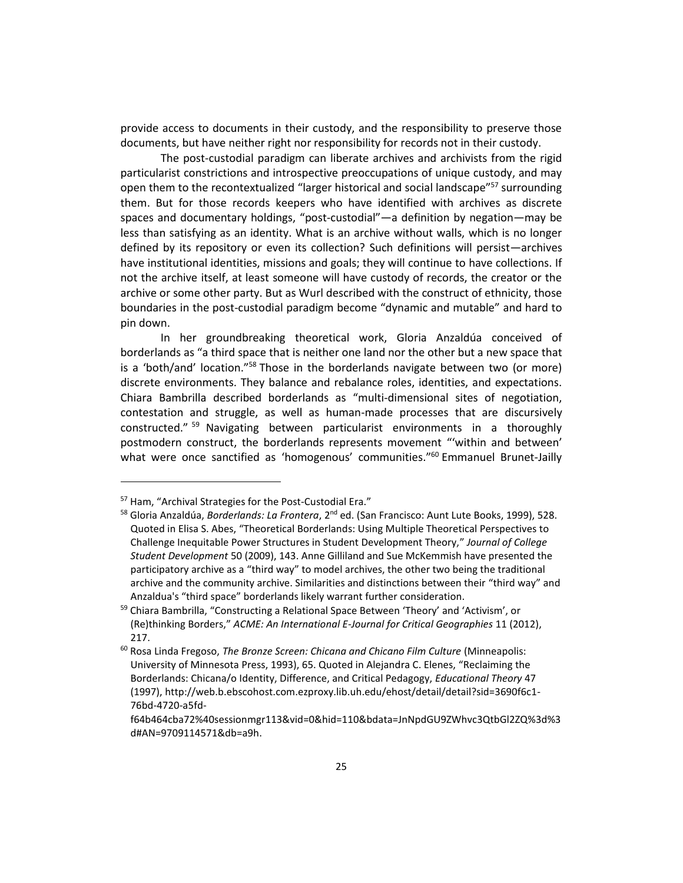provide access to documents in their custody, and the responsibility to preserve those documents, but have neither right nor responsibility for records not in their custody.

The post-custodial paradigm can liberate archives and archivists from the rigid particularist constrictions and introspective preoccupations of unique custody, and may open them to the recontextualized "larger historical and social landscape"<sup>57</sup> surrounding them. But for those records keepers who have identified with archives as discrete spaces and documentary holdings, "post-custodial"—a definition by negation—may be less than satisfying as an identity. What is an archive without walls, which is no longer defined by its repository or even its collection? Such definitions will persist—archives have institutional identities, missions and goals; they will continue to have collections. If not the archive itself, at least someone will have custody of records, the creator or the archive or some other party. But as Wurl described with the construct of ethnicity, those boundaries in the post-custodial paradigm become "dynamic and mutable" and hard to pin down.

In her groundbreaking theoretical work, Gloria Anzaldúa conceived of borderlands as "a third space that is neither one land nor the other but a new space that is a 'both/and' location."<sup>58</sup> Those in the borderlands navigate between two (or more) discrete environments. They balance and rebalance roles, identities, and expectations. Chiara Bambrilla described borderlands as "multi-dimensional sites of negotiation, contestation and struggle, as well as human-made processes that are discursively constructed." <sup>59</sup> Navigating between particularist environments in a thoroughly postmodern construct, the borderlands represents movement "'within and between' what were once sanctified as 'homogenous' communities."<sup>60</sup> Emmanuel Brunet-Jailly

 $\overline{a}$ 

<sup>&</sup>lt;sup>57</sup> Ham, "Archival Strategies for the Post-Custodial Era."

<sup>58</sup> Gloria Anzaldúa, *Borderlands: La Frontera*, 2nd ed. (San Francisco: Aunt Lute Books, 1999), 528. Quoted in Elisa S. Abes, "Theoretical Borderlands: Using Multiple Theoretical Perspectives to Challenge Inequitable Power Structures in Student Development Theory," *Journal of College Student Development* 50 (2009), 143. Anne Gilliland and Sue McKemmish have presented the participatory archive as a "third way" to model archives, the other two being the traditional archive and the community archive. Similarities and distinctions between their "third way" and Anzaldua's "third space" borderlands likely warrant further consideration.

<sup>&</sup>lt;sup>59</sup> Chiara Bambrilla, "Constructing a Relational Space Between 'Theory' and 'Activism', or (Re)thinking Borders," *ACME: An International E-Journal for Critical Geographies* 11 (2012), 217.

<sup>60</sup> Rosa Linda Fregoso, *The Bronze Screen: Chicana and Chicano Film Culture* (Minneapolis: University of Minnesota Press, 1993), 65. Quoted in Alejandra C. Elenes, "Reclaiming the Borderlands: Chicana/o Identity, Difference, and Critical Pedagogy, *Educational Theory* 47 (1997), http://web.b.ebscohost.com.ezproxy.lib.uh.edu/ehost/detail/detail?sid=3690f6c1- 76bd-4720-a5fd-

f64b464cba72%40sessionmgr113&vid=0&hid=110&bdata=JnNpdGU9ZWhvc3QtbGl2ZQ%3d%3 d#AN=9709114571&db=a9h.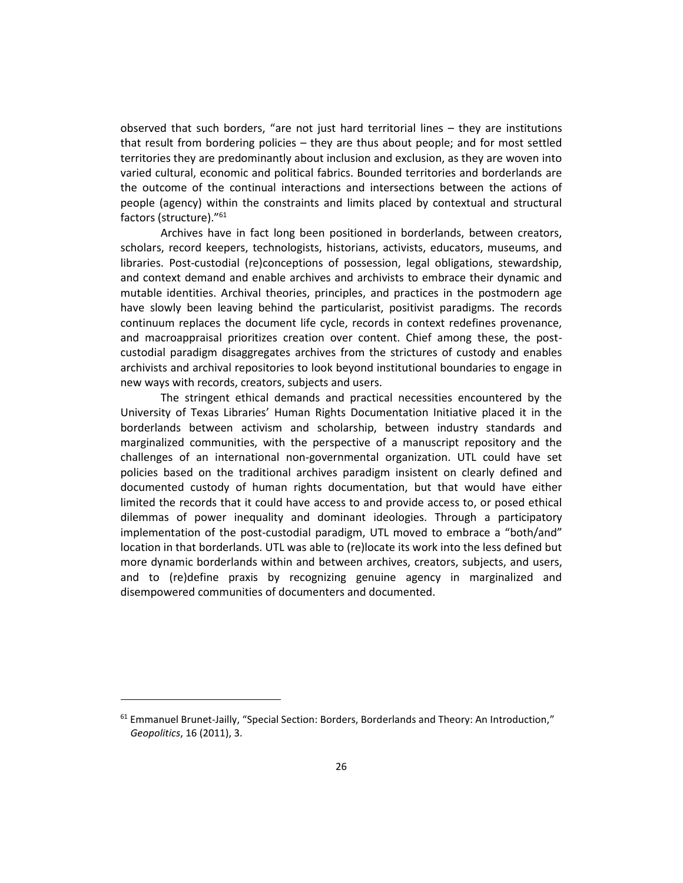observed that such borders, "are not just hard territorial lines – they are institutions that result from bordering policies – they are thus about people; and for most settled territories they are predominantly about inclusion and exclusion, as they are woven into varied cultural, economic and political fabrics. Bounded territories and borderlands are the outcome of the continual interactions and intersections between the actions of people (agency) within the constraints and limits placed by contextual and structural factors (structure)." 61

Archives have in fact long been positioned in borderlands, between creators, scholars, record keepers, technologists, historians, activists, educators, museums, and libraries. Post-custodial (re)conceptions of possession, legal obligations, stewardship, and context demand and enable archives and archivists to embrace their dynamic and mutable identities. Archival theories, principles, and practices in the postmodern age have slowly been leaving behind the particularist, positivist paradigms. The records continuum replaces the document life cycle, records in context redefines provenance, and macroappraisal prioritizes creation over content. Chief among these, the postcustodial paradigm disaggregates archives from the strictures of custody and enables archivists and archival repositories to look beyond institutional boundaries to engage in new ways with records, creators, subjects and users.

The stringent ethical demands and practical necessities encountered by the University of Texas Libraries' Human Rights Documentation Initiative placed it in the borderlands between activism and scholarship, between industry standards and marginalized communities, with the perspective of a manuscript repository and the challenges of an international non-governmental organization. UTL could have set policies based on the traditional archives paradigm insistent on clearly defined and documented custody of human rights documentation, but that would have either limited the records that it could have access to and provide access to, or posed ethical dilemmas of power inequality and dominant ideologies. Through a participatory implementation of the post-custodial paradigm, UTL moved to embrace a "both/and" location in that borderlands. UTL was able to (re)locate its work into the less defined but more dynamic borderlands within and between archives, creators, subjects, and users, and to (re)define praxis by recognizing genuine agency in marginalized and disempowered communities of documenters and documented.

 $61$  Emmanuel Brunet-Jailly, "Special Section: Borders, Borderlands and Theory: An Introduction," *Geopolitics*, 16 (2011), 3.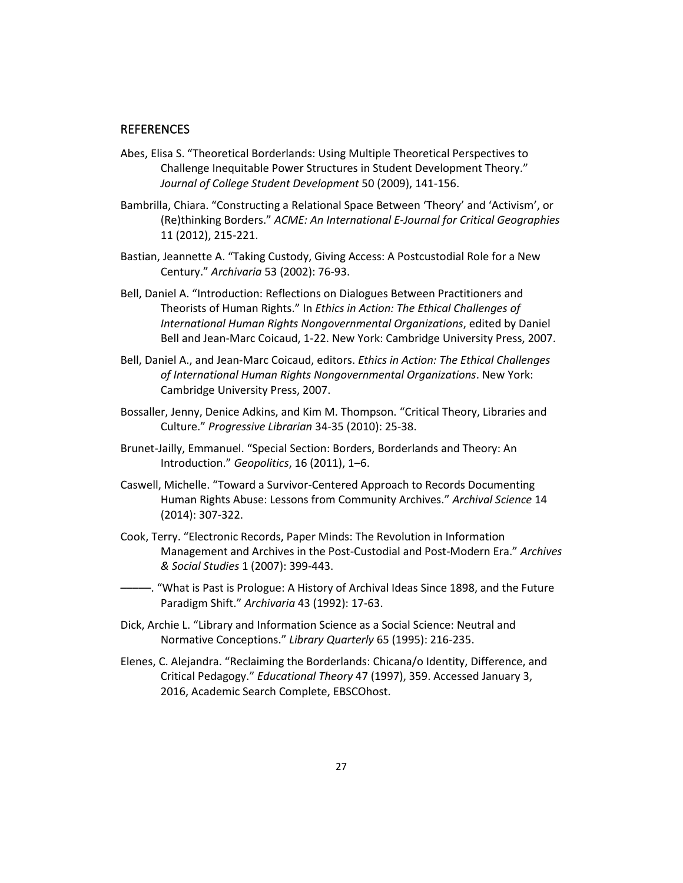#### **REFERENCES**

- Abes, Elisa S. "Theoretical Borderlands: Using Multiple Theoretical Perspectives to Challenge Inequitable Power Structures in Student Development Theory." *Journal of College Student Development* 50 (2009), 141-156.
- Bambrilla, Chiara. "Constructing a Relational Space Between 'Theory' and 'Activism', or (Re)thinking Borders." *ACME: An International E-Journal for Critical Geographies* 11 (2012), 215-221.
- Bastian, Jeannette A. "Taking Custody, Giving Access: A Postcustodial Role for a New Century." *Archivaria* 53 (2002): 76-93.
- Bell, Daniel A. "Introduction: Reflections on Dialogues Between Practitioners and Theorists of Human Rights." In *Ethics in Action: The Ethical Challenges of International Human Rights Nongovernmental Organizations*, edited by Daniel Bell and Jean-Marc Coicaud, 1-22. New York: Cambridge University Press, 2007.
- Bell, Daniel A., and Jean-Marc Coicaud, editors. *Ethics in Action: The Ethical Challenges of International Human Rights Nongovernmental Organizations*. New York: Cambridge University Press, 2007.
- Bossaller, Jenny, Denice Adkins, and Kim M. Thompson. "Critical Theory, Libraries and Culture." *Progressive Librarian* 34-35 (2010): 25-38.
- Brunet-Jailly, Emmanuel. "Special Section: Borders, Borderlands and Theory: An Introduction." *Geopolitics*, 16 (2011), 1–6.
- Caswell, Michelle. "Toward a Survivor-Centered Approach to Records Documenting Human Rights Abuse: Lessons from Community Archives." *Archival Science* 14 (2014): 307-322.
- Cook, Terry. "Electronic Records, Paper Minds: The Revolution in Information Management and Archives in the Post-Custodial and Post-Modern Era." *Archives & Social Studies* 1 (2007): 399-443.
- –––––. "What is Past is Prologue: A History of Archival Ideas Since 1898, and the Future Paradigm Shift." *Archivaria* 43 (1992): 17-63.
- Dick, Archie L. "Library and Information Science as a Social Science: Neutral and Normative Conceptions." *Library Quarterly* 65 (1995): 216-235.
- Elenes, C. Alejandra. "Reclaiming the Borderlands: Chicana/o Identity, Difference, and Critical Pedagogy." *Educational Theory* 47 (1997), 359. Accessed January 3, 2016, Academic Search Complete, EBSCOhost.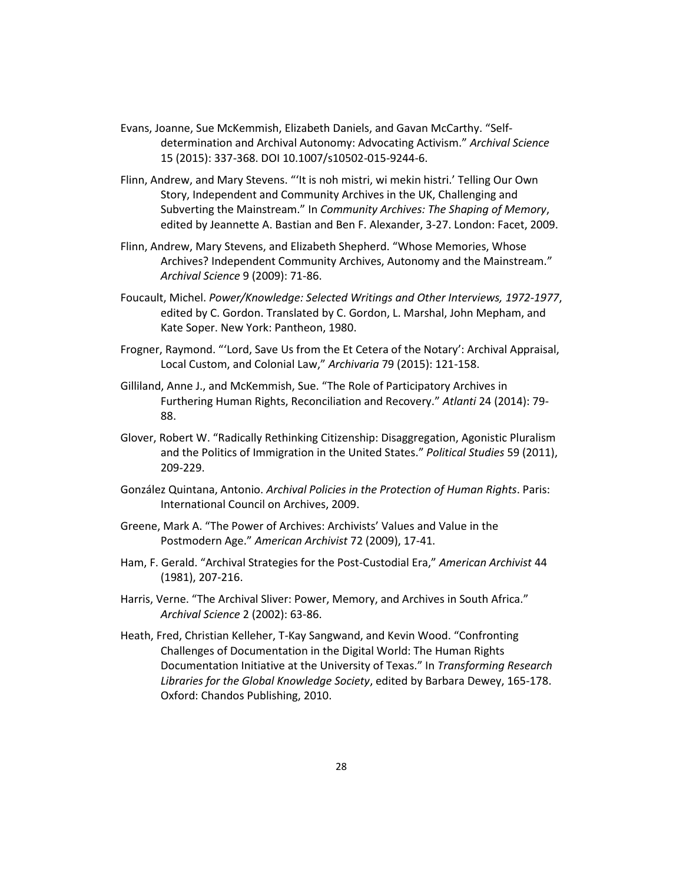- Evans, Joanne, Sue McKemmish, Elizabeth Daniels, and Gavan McCarthy. "Selfdetermination and Archival Autonomy: Advocating Activism." *Archival Science* 15 (2015): 337-368. DOI 10.1007/s10502-015-9244-6.
- Flinn, Andrew, and Mary Stevens. "'It is noh mistri, wi mekin histri.' Telling Our Own Story, Independent and Community Archives in the UK, Challenging and Subverting the Mainstream." In *Community Archives: The Shaping of Memory*, edited by Jeannette A. Bastian and Ben F. Alexander, 3-27. London: Facet, 2009.
- Flinn, Andrew, Mary Stevens, and Elizabeth Shepherd. "Whose Memories, Whose Archives? Independent Community Archives, Autonomy and the Mainstream." *Archival Science* 9 (2009): 71-86.
- Foucault, Michel. *Power/Knowledge: Selected Writings and Other Interviews, 1972-1977*, edited by C. Gordon. Translated by C. Gordon, L. Marshal, John Mepham, and Kate Soper. New York: Pantheon, 1980.
- Frogner, Raymond. "'Lord, Save Us from the Et Cetera of the Notary': Archival Appraisal, Local Custom, and Colonial Law," *Archivaria* 79 (2015): 121-158.
- Gilliland, Anne J., and McKemmish, Sue. "The Role of Participatory Archives in Furthering Human Rights, Reconciliation and Recovery." *Atlanti* 24 (2014): 79- 88.
- Glover, Robert W. "Radically Rethinking Citizenship: Disaggregation, Agonistic Pluralism and the Politics of Immigration in the United States." *Political Studies* 59 (2011), 209-229.
- González Quintana, Antonio. *Archival Policies in the Protection of Human Rights*. Paris: International Council on Archives, 2009.
- Greene, Mark A. "The Power of Archives: Archivists' Values and Value in the Postmodern Age." *American Archivist* 72 (2009), 17-41.
- Ham, F. Gerald. "Archival Strategies for the Post-Custodial Era," *American Archivist* 44 (1981), 207-216.
- Harris, Verne. "The Archival Sliver: Power, Memory, and Archives in South Africa." *Archival Science* 2 (2002): 63-86.
- Heath, Fred, Christian Kelleher, T-Kay Sangwand, and Kevin Wood. "Confronting Challenges of Documentation in the Digital World: The Human Rights Documentation Initiative at the University of Texas." In *Transforming Research Libraries for the Global Knowledge Society*, edited by Barbara Dewey, 165-178. Oxford: Chandos Publishing, 2010.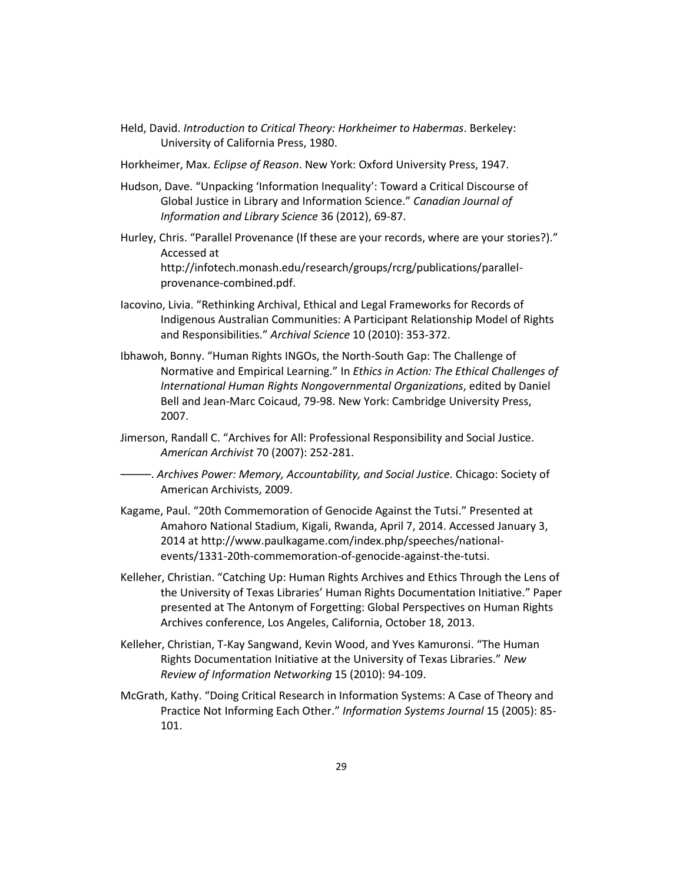- Held, David. *Introduction to Critical Theory: Horkheimer to Habermas*. Berkeley: University of California Press, 1980.
- Horkheimer, Max. *Eclipse of Reason*. New York: Oxford University Press, 1947.
- Hudson, Dave. "Unpacking 'Information Inequality': Toward a Critical Discourse of Global Justice in Library and Information Science." *Canadian Journal of Information and Library Science* 36 (2012), 69-87.
- Hurley, Chris. "Parallel Provenance (If these are your records, where are your stories?)." Accessed at http://infotech.monash.edu/research/groups/rcrg/publications/parallelprovenance-combined.pdf.
- Iacovino, Livia. "Rethinking Archival, Ethical and Legal Frameworks for Records of Indigenous Australian Communities: A Participant Relationship Model of Rights and Responsibilities." *Archival Science* 10 (2010): 353-372.
- Ibhawoh, Bonny. "Human Rights INGOs, the North-South Gap: The Challenge of Normative and Empirical Learning." In *Ethics in Action: The Ethical Challenges of International Human Rights Nongovernmental Organizations*, edited by Daniel Bell and Jean-Marc Coicaud, 79-98. New York: Cambridge University Press, 2007.
- Jimerson, Randall C. "Archives for All: Professional Responsibility and Social Justice. *American Archivist* 70 (2007): 252-281.
- –––––. *Archives Power: Memory, Accountability, and Social Justice*. Chicago: Society of American Archivists, 2009.
- Kagame, Paul. "20th Commemoration of Genocide Against the Tutsi." Presented at Amahoro National Stadium, Kigali, Rwanda, April 7, 2014. Accessed January 3, 2014 at http://www.paulkagame.com/index.php/speeches/nationalevents/1331-20th-commemoration-of-genocide-against-the-tutsi.
- Kelleher, Christian. "Catching Up: Human Rights Archives and Ethics Through the Lens of the University of Texas Libraries' Human Rights Documentation Initiative." Paper presented at The Antonym of Forgetting: Global Perspectives on Human Rights Archives conference, Los Angeles, California, October 18, 2013.
- Kelleher, Christian, T-Kay Sangwand, Kevin Wood, and Yves Kamuronsi. "The Human Rights Documentation Initiative at the University of Texas Libraries." *New Review of Information Networking* 15 (2010): 94-109.
- McGrath, Kathy. "Doing Critical Research in Information Systems: A Case of Theory and Practice Not Informing Each Other." *Information Systems Journal* 15 (2005): 85- 101.